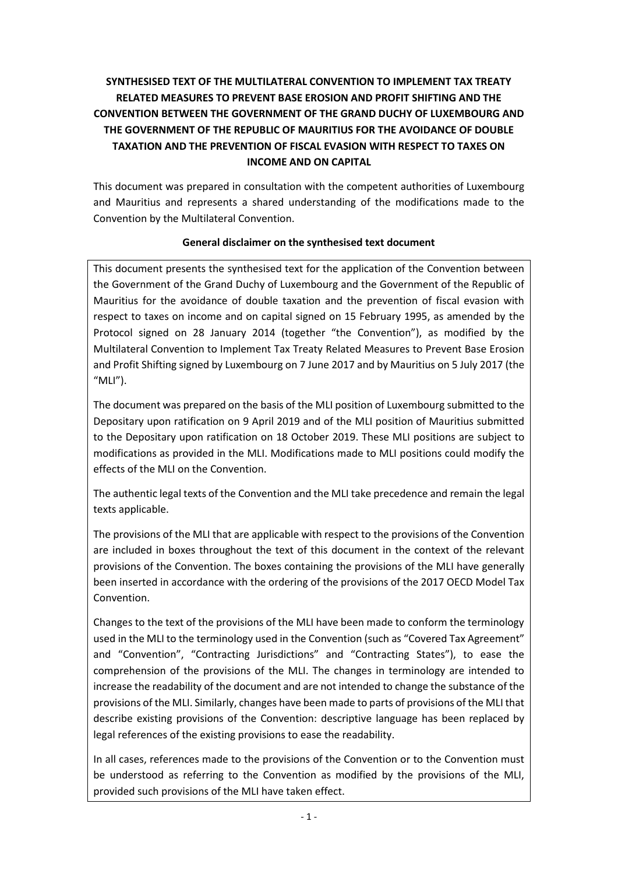# **SYNTHESISED TEXT OF THE MULTILATERAL CONVENTION TO IMPLEMENT TAX TREATY RELATED MEASURES TO PREVENT BASE EROSION AND PROFIT SHIFTING AND THE CONVENTION BETWEEN THE GOVERNMENT OF THE GRAND DUCHY OF LUXEMBOURG AND THE GOVERNMENT OF THE REPUBLIC OF MAURITIUS FOR THE AVOIDANCE OF DOUBLE TAXATION AND THE PREVENTION OF FISCAL EVASION WITH RESPECT TO TAXES ON INCOME AND ON CAPITAL**

This document was prepared in consultation with the competent authorities of Luxembourg and Mauritius and represents a shared understanding of the modifications made to the Convention by the Multilateral Convention.

# **General disclaimer on the synthesised text document**

This document presents the synthesised text for the application of the Convention between the Government of the Grand Duchy of Luxembourg and the Government of the Republic of Mauritius for the avoidance of double taxation and the prevention of fiscal evasion with respect to taxes on income and on capital signed on 15 February 1995, as amended by the Protocol signed on 28 January 2014 (together "the Convention"), as modified by the Multilateral Convention to Implement Tax Treaty Related Measures to Prevent Base Erosion and Profit Shifting signed by Luxembourg on 7 June 2017 and by Mauritius on 5 July 2017 (the "MLI").

The document was prepared on the basis of the MLI position of Luxembourg submitted to the Depositary upon ratification on 9 April 2019 and of the MLI position of Mauritius submitted to the Depositary upon ratification on 18 October 2019. These MLI positions are subject to modifications as provided in the MLI. Modifications made to MLI positions could modify the effects of the MLI on the Convention.

The authentic legal texts of the Convention and the MLI take precedence and remain the legal texts applicable.

The provisions of the MLI that are applicable with respect to the provisions of the Convention are included in boxes throughout the text of this document in the context of the relevant provisions of the Convention. The boxes containing the provisions of the MLI have generally been inserted in accordance with the ordering of the provisions of the 2017 OECD Model Tax Convention.

Changes to the text of the provisions of the MLI have been made to conform the terminology used in the MLI to the terminology used in the Convention (such as "Covered Tax Agreement" and "Convention", "Contracting Jurisdictions" and "Contracting States"), to ease the comprehension of the provisions of the MLI. The changes in terminology are intended to increase the readability of the document and are not intended to change the substance of the provisions of the MLI. Similarly, changes have been made to parts of provisions of the MLI that describe existing provisions of the Convention: descriptive language has been replaced by legal references of the existing provisions to ease the readability.

In all cases, references made to the provisions of the Convention or to the Convention must be understood as referring to the Convention as modified by the provisions of the MLI, provided such provisions of the MLI have taken effect.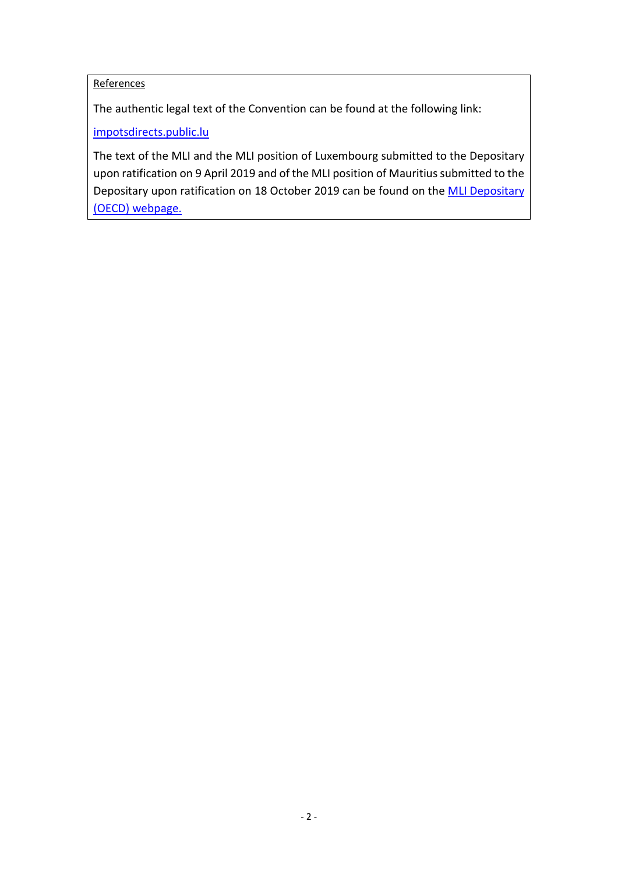# References

The authentic legal text of the Convention can be found at the following link:

# [impotsdirects.public.lu](https://impotsdirects.public.lu/fr.html)

The text of the MLI and the MLI position of Luxembourg submitted to the Depositary upon ratification on 9 April 2019 and of the MLI position of Mauritius submitted to the Depositary upon ratification on 18 October 2019 can be found on the MLI Depositary [\(OECD\) webpage.](https://www.oecd.org/tax/treaties/multilateral-convention-to-implement-tax-treaty-related-measures-to-prevent-beps.htm)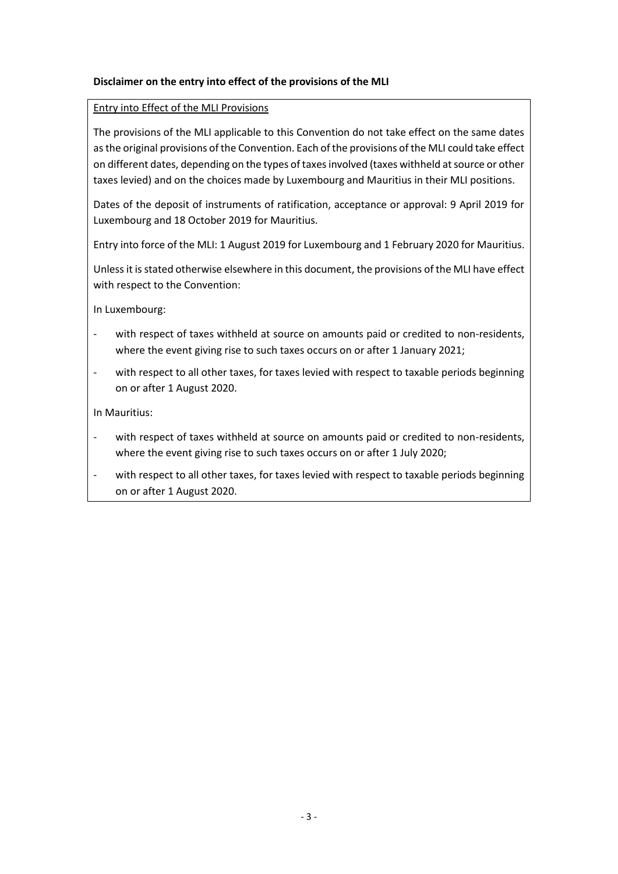### **Disclaimer on the entry into effect of the provisions of the MLI**

### Entry into Effect of the MLI Provisions

The provisions of the MLI applicable to this Convention do not take effect on the same dates as the original provisions of the Convention. Each of the provisions of the MLI could take effect on different dates, depending on the types of taxes involved (taxes withheld at source or other taxes levied) and on the choices made by Luxembourg and Mauritius in their MLI positions.

Dates of the deposit of instruments of ratification, acceptance or approval: 9 April 2019 for Luxembourg and 18 October 2019 for Mauritius.

Entry into force of the MLI: 1 August 2019 for Luxembourg and 1 February 2020 for Mauritius.

Unless it is stated otherwise elsewhere in this document, the provisions of the MLI have effect with respect to the Convention:

In Luxembourg:

- with respect of taxes withheld at source on amounts paid or credited to non-residents, where the event giving rise to such taxes occurs on or after 1 January 2021;
- with respect to all other taxes, for taxes levied with respect to taxable periods beginning on or after 1 August 2020.

In Mauritius:

- with respect of taxes withheld at source on amounts paid or credited to non-residents, where the event giving rise to such taxes occurs on or after 1 July 2020;
- with respect to all other taxes, for taxes levied with respect to taxable periods beginning on or after 1 August 2020.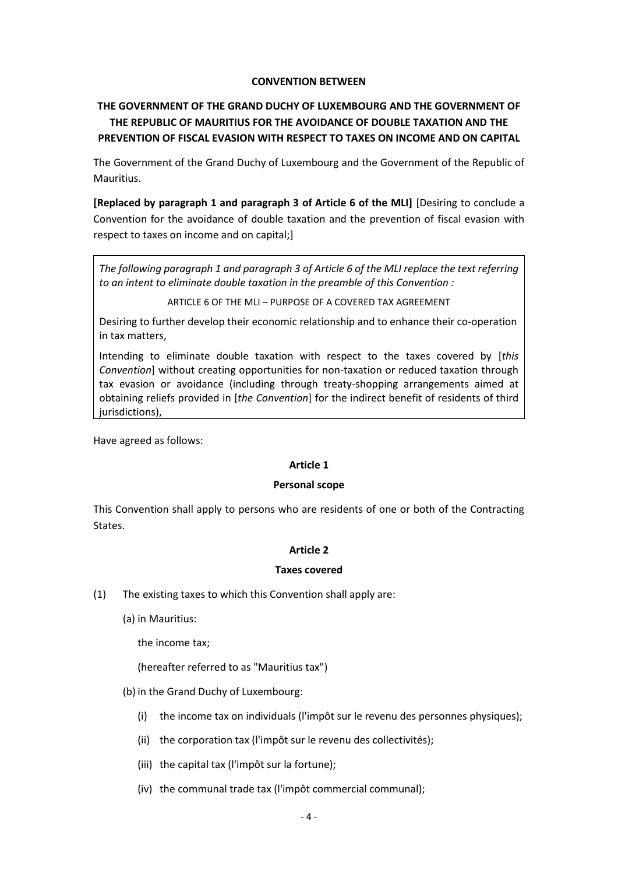### **CONVENTION BETWEEN**

# **THE GOVERNMENT OF THE GRAND DUCHY OF LUXEMBOURG AND THE GOVERNMENT OF THE REPUBLIC OF MAURITIUS FOR THE AVOIDANCE OF DOUBLE TAXATION AND THE PREVENTION OF FISCAL EVASION WITH RESPECT TO TAXES ON INCOME AND ON CAPITAL**

The Government of the Grand Duchy of Luxembourg and the Government of the Republic of Mauritius.

**[Replaced by paragraph 1 and paragraph 3 of Article 6 of the MLI]** [Desiring to conclude a Convention for the avoidance of double taxation and the prevention of fiscal evasion with respect to taxes on income and on capital;]

*The following paragraph 1 and paragraph 3 of Article 6 of the MLI replace the text referring to an intent to eliminate double taxation in the preamble of this Convention :*

ARTICLE 6 OF THE MLI – PURPOSE OF A COVERED TAX AGREEMENT

Desiring to further develop their economic relationship and to enhance their co-operation in tax matters,

Intending to eliminate double taxation with respect to the taxes covered by [*this Convention*] without creating opportunities for non-taxation or reduced taxation through tax evasion or avoidance (including through treaty-shopping arrangements aimed at obtaining reliefs provided in [*the Convention*] for the indirect benefit of residents of third jurisdictions),

Have agreed as follows:

### **Article 1**

### **Personal scope**

This Convention shall apply to persons who are residents of one or both of the Contracting States.

### **Article 2**

### **Taxes covered**

- (1) The existing taxes to which this Convention shall apply are:
	- (a) in Mauritius:

the income tax;

(hereafter referred to as "Mauritius tax")

- (b) in the Grand Duchy of Luxembourg:
	- (i) the income tax on individuals (l'impôt sur le revenu des personnes physiques);
	- (ii) the corporation tax (l'impôt sur le revenu des collectivités);
	- (iii) the capital tax (l'impôt sur la fortune);
	- (iv) the communal trade tax (l'impôt commercial communal);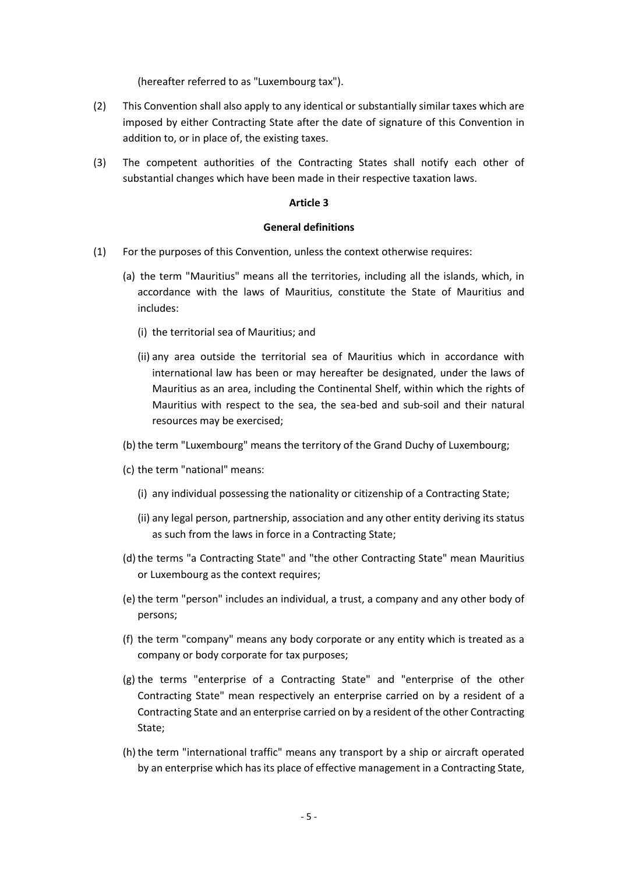(hereafter referred to as "Luxembourg tax").

- (2) This Convention shall also apply to any identical or substantially similar taxes which are imposed by either Contracting State after the date of signature of this Convention in addition to, or in place of, the existing taxes.
- (3) The competent authorities of the Contracting States shall notify each other of substantial changes which have been made in their respective taxation laws.

### **Article 3**

### **General definitions**

- (1) For the purposes of this Convention, unless the context otherwise requires:
	- (a) the term "Mauritius" means all the territories, including all the islands, which, in accordance with the laws of Mauritius, constitute the State of Mauritius and includes:
		- (i) the territorial sea of Mauritius; and
		- (ii) any area outside the territorial sea of Mauritius which in accordance with international law has been or may hereafter be designated, under the laws of Mauritius as an area, including the Continental Shelf, within which the rights of Mauritius with respect to the sea, the sea-bed and sub-soil and their natural resources may be exercised;
	- (b) the term "Luxembourg" means the territory of the Grand Duchy of Luxembourg;
	- (c) the term "national" means:
		- (i) any individual possessing the nationality or citizenship of a Contracting State;
		- (ii) any legal person, partnership, association and any other entity deriving its status as such from the laws in force in a Contracting State;
	- (d) the terms "a Contracting State" and "the other Contracting State" mean Mauritius or Luxembourg as the context requires;
	- (e) the term "person" includes an individual, a trust, a company and any other body of persons;
	- (f) the term "company" means any body corporate or any entity which is treated as a company or body corporate for tax purposes;
	- (g) the terms "enterprise of a Contracting State" and "enterprise of the other Contracting State" mean respectively an enterprise carried on by a resident of a Contracting State and an enterprise carried on by a resident of the other Contracting State;
	- (h) the term "international traffic" means any transport by a ship or aircraft operated by an enterprise which has its place of effective management in a Contracting State,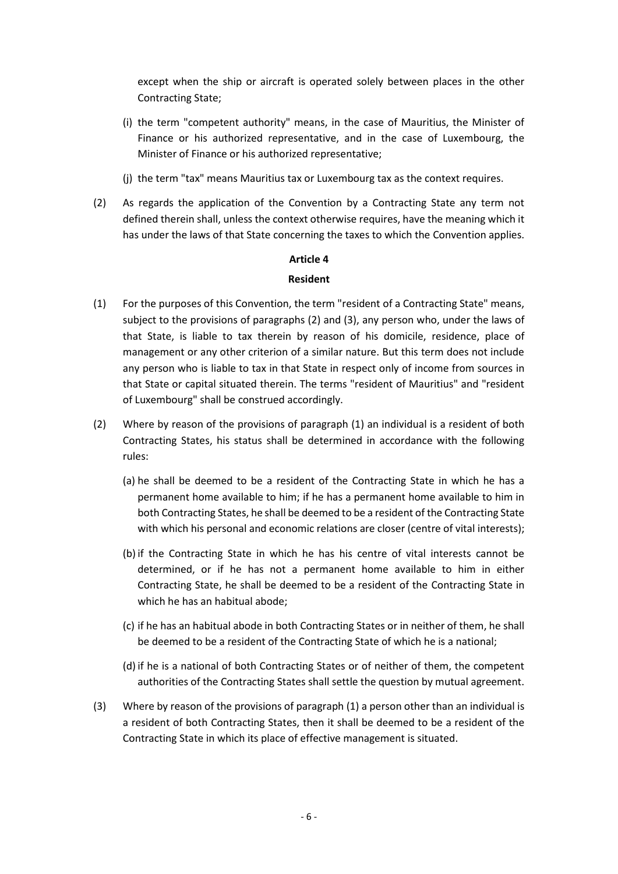except when the ship or aircraft is operated solely between places in the other Contracting State;

- (i) the term "competent authority" means, in the case of Mauritius, the Minister of Finance or his authorized representative, and in the case of Luxembourg, the Minister of Finance or his authorized representative;
- (j) the term "tax" means Mauritius tax or Luxembourg tax as the context requires.
- (2) As regards the application of the Convention by a Contracting State any term not defined therein shall, unless the context otherwise requires, have the meaning which it has under the laws of that State concerning the taxes to which the Convention applies.

### **Article 4**

### **Resident**

- (1) For the purposes of this Convention, the term "resident of a Contracting State" means, subject to the provisions of paragraphs (2) and (3), any person who, under the laws of that State, is liable to tax therein by reason of his domicile, residence, place of management or any other criterion of a similar nature. But this term does not include any person who is liable to tax in that State in respect only of income from sources in that State or capital situated therein. The terms "resident of Mauritius" and "resident of Luxembourg" shall be construed accordingly.
- (2) Where by reason of the provisions of paragraph (1) an individual is a resident of both Contracting States, his status shall be determined in accordance with the following rules:
	- (a) he shall be deemed to be a resident of the Contracting State in which he has a permanent home available to him; if he has a permanent home available to him in both Contracting States, he shall be deemed to be a resident of the Contracting State with which his personal and economic relations are closer (centre of vital interests);
	- (b) if the Contracting State in which he has his centre of vital interests cannot be determined, or if he has not a permanent home available to him in either Contracting State, he shall be deemed to be a resident of the Contracting State in which he has an habitual abode;
	- (c) if he has an habitual abode in both Contracting States or in neither of them, he shall be deemed to be a resident of the Contracting State of which he is a national;
	- (d) if he is a national of both Contracting States or of neither of them, the competent authorities of the Contracting States shall settle the question by mutual agreement.
- (3) Where by reason of the provisions of paragraph (1) a person other than an individual is a resident of both Contracting States, then it shall be deemed to be a resident of the Contracting State in which its place of effective management is situated.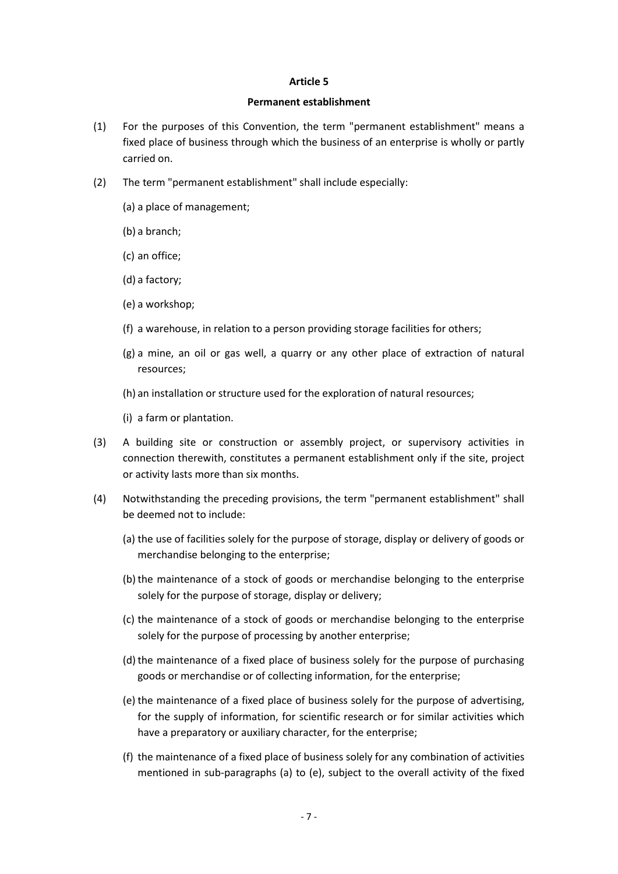#### **Permanent establishment**

- (1) For the purposes of this Convention, the term "permanent establishment" means a fixed place of business through which the business of an enterprise is wholly or partly carried on.
- (2) The term "permanent establishment" shall include especially:
	- (a) a place of management;
	- (b) a branch;
	- (c) an office;
	- (d) a factory;
	- (e) a workshop;
	- (f) a warehouse, in relation to a person providing storage facilities for others;
	- (g) a mine, an oil or gas well, a quarry or any other place of extraction of natural resources;
	- (h) an installation or structure used for the exploration of natural resources;
	- (i) a farm or plantation.
- (3) A building site or construction or assembly project, or supervisory activities in connection therewith, constitutes a permanent establishment only if the site, project or activity lasts more than six months.
- (4) Notwithstanding the preceding provisions, the term "permanent establishment" shall be deemed not to include:
	- (a) the use of facilities solely for the purpose of storage, display or delivery of goods or merchandise belonging to the enterprise;
	- (b)the maintenance of a stock of goods or merchandise belonging to the enterprise solely for the purpose of storage, display or delivery;
	- (c) the maintenance of a stock of goods or merchandise belonging to the enterprise solely for the purpose of processing by another enterprise;
	- (d) the maintenance of a fixed place of business solely for the purpose of purchasing goods or merchandise or of collecting information, for the enterprise;
	- (e) the maintenance of a fixed place of business solely for the purpose of advertising, for the supply of information, for scientific research or for similar activities which have a preparatory or auxiliary character, for the enterprise;
	- (f) the maintenance of a fixed place of business solely for any combination of activities mentioned in sub-paragraphs (a) to (e), subject to the overall activity of the fixed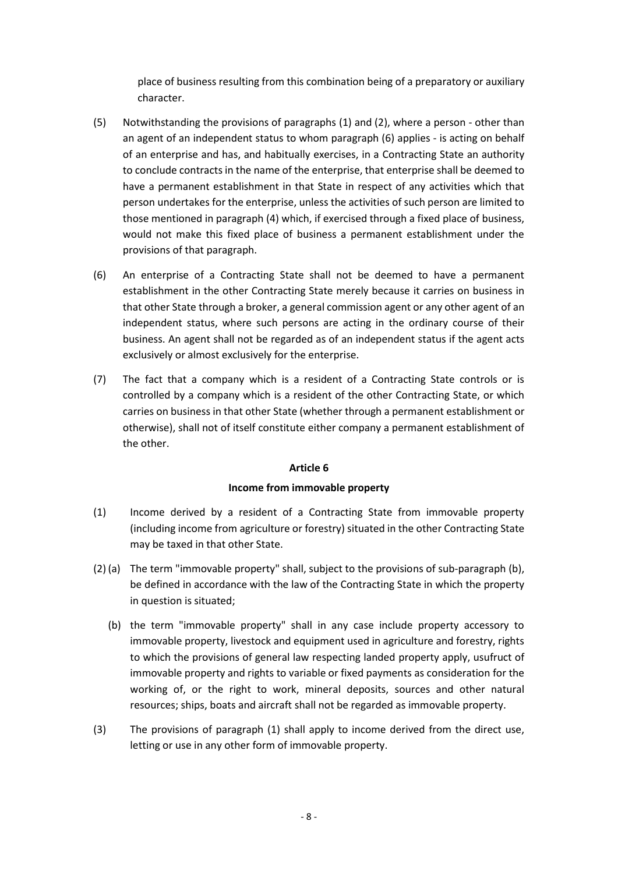place of business resulting from this combination being of a preparatory or auxiliary character.

- (5) Notwithstanding the provisions of paragraphs (1) and (2), where a person other than an agent of an independent status to whom paragraph (6) applies - is acting on behalf of an enterprise and has, and habitually exercises, in a Contracting State an authority to conclude contracts in the name of the enterprise, that enterprise shall be deemed to have a permanent establishment in that State in respect of any activities which that person undertakes for the enterprise, unless the activities of such person are limited to those mentioned in paragraph (4) which, if exercised through a fixed place of business, would not make this fixed place of business a permanent establishment under the provisions of that paragraph.
- (6) An enterprise of a Contracting State shall not be deemed to have a permanent establishment in the other Contracting State merely because it carries on business in that other State through a broker, a general commission agent or any other agent of an independent status, where such persons are acting in the ordinary course of their business. An agent shall not be regarded as of an independent status if the agent acts exclusively or almost exclusively for the enterprise.
- (7) The fact that a company which is a resident of a Contracting State controls or is controlled by a company which is a resident of the other Contracting State, or which carries on business in that other State (whether through a permanent establishment or otherwise), shall not of itself constitute either company a permanent establishment of the other.

# **Article 6**

# **Income from immovable property**

- (1) Income derived by a resident of a Contracting State from immovable property (including income from agriculture or forestry) situated in the other Contracting State may be taxed in that other State.
- (2) (a) The term "immovable property" shall, subject to the provisions of sub-paragraph (b), be defined in accordance with the law of the Contracting State in which the property in question is situated;
	- (b) the term "immovable property" shall in any case include property accessory to immovable property, livestock and equipment used in agriculture and forestry, rights to which the provisions of general law respecting landed property apply, usufruct of immovable property and rights to variable or fixed payments as consideration for the working of, or the right to work, mineral deposits, sources and other natural resources; ships, boats and aircraft shall not be regarded as immovable property.
- (3) The provisions of paragraph (1) shall apply to income derived from the direct use, letting or use in any other form of immovable property.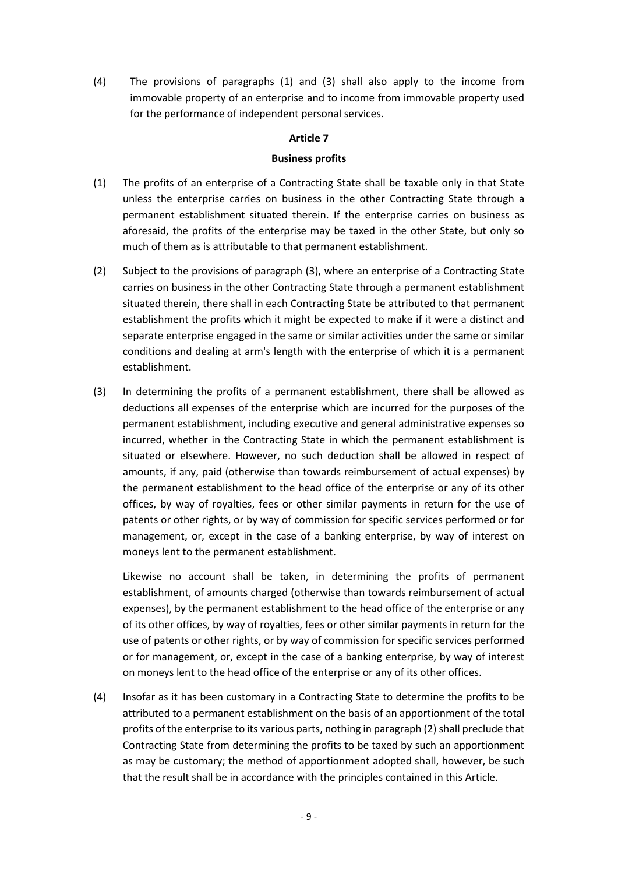(4) The provisions of paragraphs (1) and (3) shall also apply to the income from immovable property of an enterprise and to income from immovable property used for the performance of independent personal services.

### **Article 7**

### **Business profits**

- (1) The profits of an enterprise of a Contracting State shall be taxable only in that State unless the enterprise carries on business in the other Contracting State through a permanent establishment situated therein. If the enterprise carries on business as aforesaid, the profits of the enterprise may be taxed in the other State, but only so much of them as is attributable to that permanent establishment.
- (2) Subject to the provisions of paragraph (3), where an enterprise of a Contracting State carries on business in the other Contracting State through a permanent establishment situated therein, there shall in each Contracting State be attributed to that permanent establishment the profits which it might be expected to make if it were a distinct and separate enterprise engaged in the same or similar activities under the same or similar conditions and dealing at arm's length with the enterprise of which it is a permanent establishment.
- (3) In determining the profits of a permanent establishment, there shall be allowed as deductions all expenses of the enterprise which are incurred for the purposes of the permanent establishment, including executive and general administrative expenses so incurred, whether in the Contracting State in which the permanent establishment is situated or elsewhere. However, no such deduction shall be allowed in respect of amounts, if any, paid (otherwise than towards reimbursement of actual expenses) by the permanent establishment to the head office of the enterprise or any of its other offices, by way of royalties, fees or other similar payments in return for the use of patents or other rights, or by way of commission for specific services performed or for management, or, except in the case of a banking enterprise, by way of interest on moneys lent to the permanent establishment.

Likewise no account shall be taken, in determining the profits of permanent establishment, of amounts charged (otherwise than towards reimbursement of actual expenses), by the permanent establishment to the head office of the enterprise or any of its other offices, by way of royalties, fees or other similar payments in return for the use of patents or other rights, or by way of commission for specific services performed or for management, or, except in the case of a banking enterprise, by way of interest on moneys lent to the head office of the enterprise or any of its other offices.

(4) Insofar as it has been customary in a Contracting State to determine the profits to be attributed to a permanent establishment on the basis of an apportionment of the total profits of the enterprise to its various parts, nothing in paragraph (2) shall preclude that Contracting State from determining the profits to be taxed by such an apportionment as may be customary; the method of apportionment adopted shall, however, be such that the result shall be in accordance with the principles contained in this Article.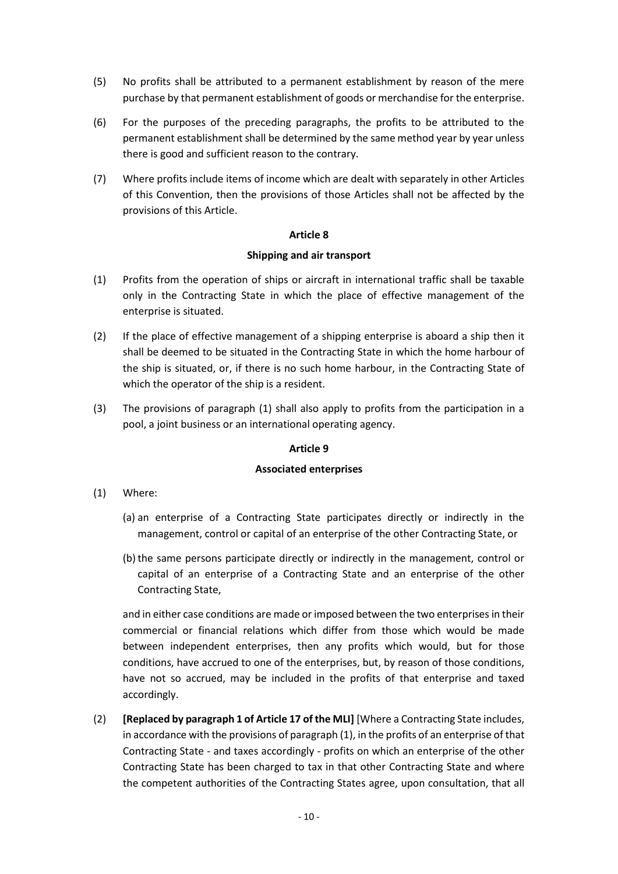- (5) No profits shall be attributed to a permanent establishment by reason of the mere purchase by that permanent establishment of goods or merchandise for the enterprise.
- (6) For the purposes of the preceding paragraphs, the profits to be attributed to the permanent establishment shall be determined by the same method year by year unless there is good and sufficient reason to the contrary.
- (7) Where profits include items of income which are dealt with separately in other Articles of this Convention, then the provisions of those Articles shall not be affected by the provisions of this Article.

### **Shipping and air transport**

- (1) Profits from the operation of ships or aircraft in international traffic shall be taxable only in the Contracting State in which the place of effective management of the enterprise is situated.
- (2) If the place of effective management of a shipping enterprise is aboard a ship then it shall be deemed to be situated in the Contracting State in which the home harbour of the ship is situated, or, if there is no such home harbour, in the Contracting State of which the operator of the ship is a resident.
- (3) The provisions of paragraph (1) shall also apply to profits from the participation in a pool, a joint business or an international operating agency.

# **Article 9**

# **Associated enterprises**

- (1) Where:
	- (a) an enterprise of a Contracting State participates directly or indirectly in the management, control or capital of an enterprise of the other Contracting State, or
	- (b)the same persons participate directly or indirectly in the management, control or capital of an enterprise of a Contracting State and an enterprise of the other Contracting State,

and in either case conditions are made or imposed between the two enterprises in their commercial or financial relations which differ from those which would be made between independent enterprises, then any profits which would, but for those conditions, have accrued to one of the enterprises, but, by reason of those conditions, have not so accrued, may be included in the profits of that enterprise and taxed accordingly.

(2) **[Replaced by paragraph 1 of Article 17 of the MLI]** [Where a Contracting State includes, in accordance with the provisions of paragraph (1), in the profits of an enterprise of that Contracting State - and taxes accordingly - profits on which an enterprise of the other Contracting State has been charged to tax in that other Contracting State and where the competent authorities of the Contracting States agree, upon consultation, that all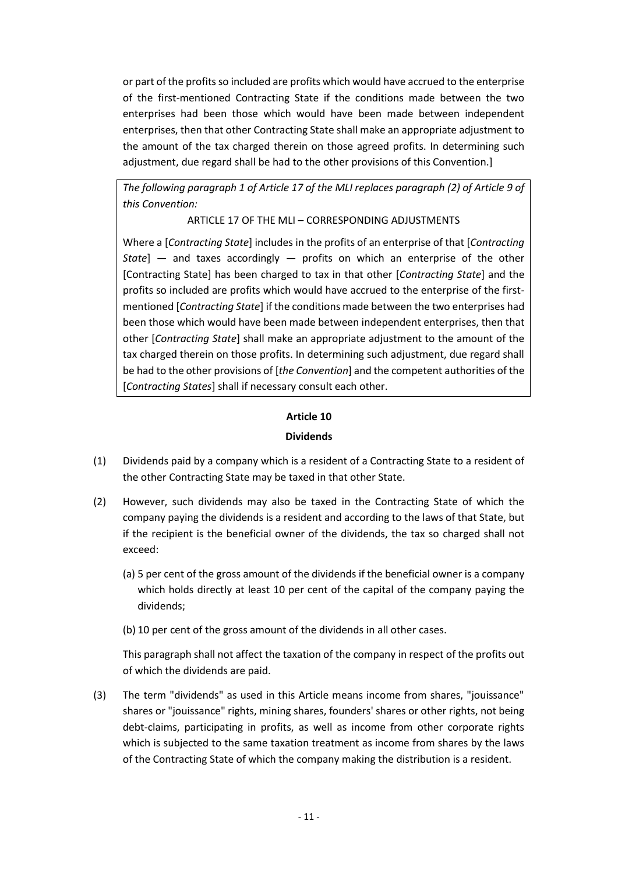or part of the profits so included are profits which would have accrued to the enterprise of the first-mentioned Contracting State if the conditions made between the two enterprises had been those which would have been made between independent enterprises, then that other Contracting State shall make an appropriate adjustment to the amount of the tax charged therein on those agreed profits. In determining such adjustment, due regard shall be had to the other provisions of this Convention.]

*The following paragraph 1 of Article 17 of the MLI replaces paragraph (2) of Article 9 of this Convention:* 

ARTICLE 17 OF THE MLI – CORRESPONDING ADJUSTMENTS

Where a [*Contracting State*] includes in the profits of an enterprise of that [*Contracting State*] — and taxes accordingly — profits on which an enterprise of the other [Contracting State] has been charged to tax in that other [*Contracting State*] and the profits so included are profits which would have accrued to the enterprise of the firstmentioned [*Contracting State*] if the conditions made between the two enterprises had been those which would have been made between independent enterprises, then that other [*Contracting State*] shall make an appropriate adjustment to the amount of the tax charged therein on those profits. In determining such adjustment, due regard shall be had to the other provisions of [*the Convention*] and the competent authorities of the [*Contracting States*] shall if necessary consult each other.

# **Article 10**

# **Dividends**

- (1) Dividends paid by a company which is a resident of a Contracting State to a resident of the other Contracting State may be taxed in that other State.
- (2) However, such dividends may also be taxed in the Contracting State of which the company paying the dividends is a resident and according to the laws of that State, but if the recipient is the beneficial owner of the dividends, the tax so charged shall not exceed:
	- (a) 5 per cent of the gross amount of the dividends if the beneficial owner is a company which holds directly at least 10 per cent of the capital of the company paying the dividends;
	- (b) 10 per cent of the gross amount of the dividends in all other cases.

This paragraph shall not affect the taxation of the company in respect of the profits out of which the dividends are paid.

(3) The term "dividends" as used in this Article means income from shares, "jouissance" shares or "jouissance" rights, mining shares, founders' shares or other rights, not being debt-claims, participating in profits, as well as income from other corporate rights which is subjected to the same taxation treatment as income from shares by the laws of the Contracting State of which the company making the distribution is a resident.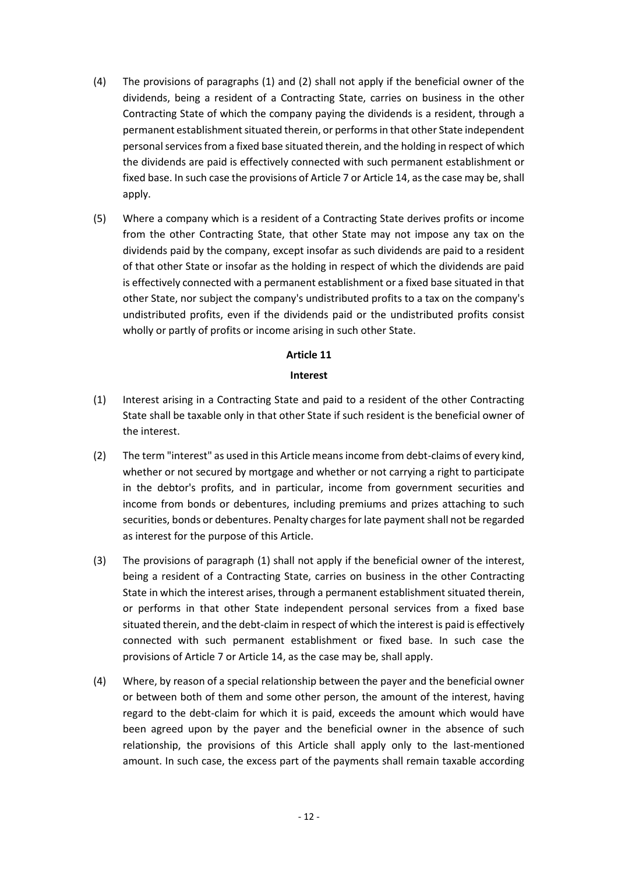- (4) The provisions of paragraphs (1) and (2) shall not apply if the beneficial owner of the dividends, being a resident of a Contracting State, carries on business in the other Contracting State of which the company paying the dividends is a resident, through a permanent establishment situated therein, or performs in that other State independent personal services from a fixed base situated therein, and the holding in respect of which the dividends are paid is effectively connected with such permanent establishment or fixed base. In such case the provisions of Article 7 or Article 14, as the case may be, shall apply.
- (5) Where a company which is a resident of a Contracting State derives profits or income from the other Contracting State, that other State may not impose any tax on the dividends paid by the company, except insofar as such dividends are paid to a resident of that other State or insofar as the holding in respect of which the dividends are paid is effectively connected with a permanent establishment or a fixed base situated in that other State, nor subject the company's undistributed profits to a tax on the company's undistributed profits, even if the dividends paid or the undistributed profits consist wholly or partly of profits or income arising in such other State.

### **Interest**

- (1) Interest arising in a Contracting State and paid to a resident of the other Contracting State shall be taxable only in that other State if such resident is the beneficial owner of the interest.
- (2) The term "interest" as used in this Article means income from debt-claims of every kind, whether or not secured by mortgage and whether or not carrying a right to participate in the debtor's profits, and in particular, income from government securities and income from bonds or debentures, including premiums and prizes attaching to such securities, bonds or debentures. Penalty charges for late payment shall not be regarded as interest for the purpose of this Article.
- (3) The provisions of paragraph (1) shall not apply if the beneficial owner of the interest, being a resident of a Contracting State, carries on business in the other Contracting State in which the interest arises, through a permanent establishment situated therein, or performs in that other State independent personal services from a fixed base situated therein, and the debt-claim in respect of which the interest is paid is effectively connected with such permanent establishment or fixed base. In such case the provisions of Article 7 or Article 14, as the case may be, shall apply.
- (4) Where, by reason of a special relationship between the payer and the beneficial owner or between both of them and some other person, the amount of the interest, having regard to the debt-claim for which it is paid, exceeds the amount which would have been agreed upon by the payer and the beneficial owner in the absence of such relationship, the provisions of this Article shall apply only to the last-mentioned amount. In such case, the excess part of the payments shall remain taxable according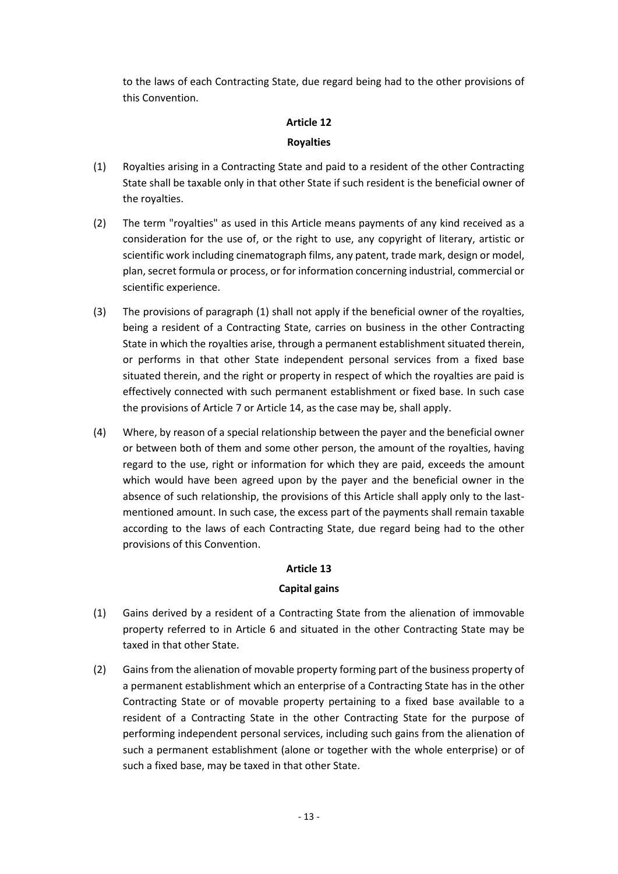to the laws of each Contracting State, due regard being had to the other provisions of this Convention.

# **Article 12**

# **Royalties**

- (1) Royalties arising in a Contracting State and paid to a resident of the other Contracting State shall be taxable only in that other State if such resident is the beneficial owner of the royalties.
- (2) The term "royalties" as used in this Article means payments of any kind received as a consideration for the use of, or the right to use, any copyright of literary, artistic or scientific work including cinematograph films, any patent, trade mark, design or model, plan, secret formula or process, or for information concerning industrial, commercial or scientific experience.
- (3) The provisions of paragraph (1) shall not apply if the beneficial owner of the royalties, being a resident of a Contracting State, carries on business in the other Contracting State in which the royalties arise, through a permanent establishment situated therein, or performs in that other State independent personal services from a fixed base situated therein, and the right or property in respect of which the royalties are paid is effectively connected with such permanent establishment or fixed base. In such case the provisions of Article 7 or Article 14, as the case may be, shall apply.
- (4) Where, by reason of a special relationship between the payer and the beneficial owner or between both of them and some other person, the amount of the royalties, having regard to the use, right or information for which they are paid, exceeds the amount which would have been agreed upon by the payer and the beneficial owner in the absence of such relationship, the provisions of this Article shall apply only to the lastmentioned amount. In such case, the excess part of the payments shall remain taxable according to the laws of each Contracting State, due regard being had to the other provisions of this Convention.

# **Article 13**

# **Capital gains**

- (1) Gains derived by a resident of a Contracting State from the alienation of immovable property referred to in Article 6 and situated in the other Contracting State may be taxed in that other State.
- (2) Gains from the alienation of movable property forming part of the business property of a permanent establishment which an enterprise of a Contracting State has in the other Contracting State or of movable property pertaining to a fixed base available to a resident of a Contracting State in the other Contracting State for the purpose of performing independent personal services, including such gains from the alienation of such a permanent establishment (alone or together with the whole enterprise) or of such a fixed base, may be taxed in that other State.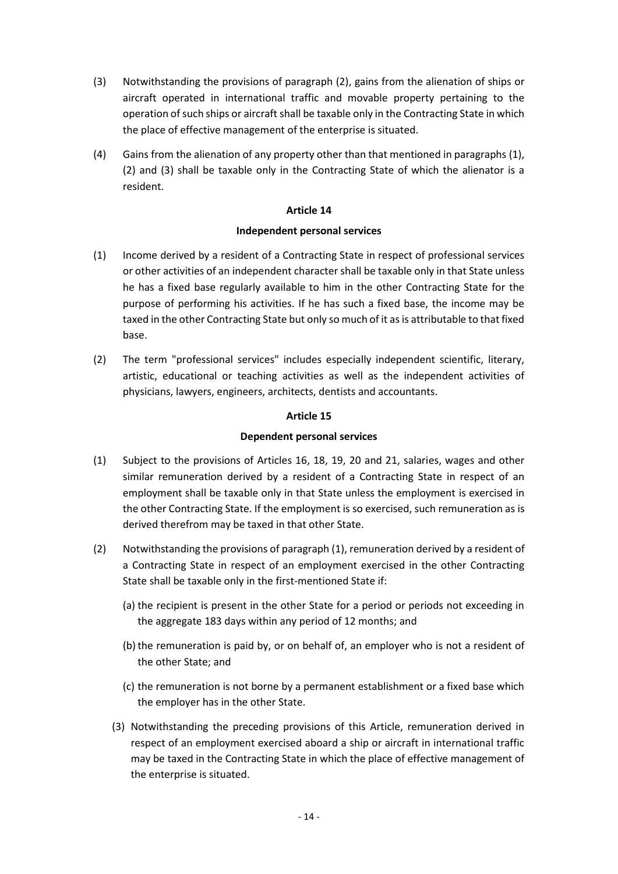- (3) Notwithstanding the provisions of paragraph (2), gains from the alienation of ships or aircraft operated in international traffic and movable property pertaining to the operation of such ships or aircraft shall be taxable only in the Contracting State in which the place of effective management of the enterprise is situated.
- (4) Gains from the alienation of any property other than that mentioned in paragraphs (1), (2) and (3) shall be taxable only in the Contracting State of which the alienator is a resident.

### **Independent personal services**

- (1) Income derived by a resident of a Contracting State in respect of professional services or other activities of an independent character shall be taxable only in that State unless he has a fixed base regularly available to him in the other Contracting State for the purpose of performing his activities. If he has such a fixed base, the income may be taxed in the other Contracting State but only so much of it as is attributable to that fixed base.
- (2) The term "professional services" includes especially independent scientific, literary, artistic, educational or teaching activities as well as the independent activities of physicians, lawyers, engineers, architects, dentists and accountants.

# **Article 15**

### **Dependent personal services**

- (1) Subject to the provisions of Articles 16, 18, 19, 20 and 21, salaries, wages and other similar remuneration derived by a resident of a Contracting State in respect of an employment shall be taxable only in that State unless the employment is exercised in the other Contracting State. If the employment is so exercised, such remuneration as is derived therefrom may be taxed in that other State.
- (2) Notwithstanding the provisions of paragraph (1), remuneration derived by a resident of a Contracting State in respect of an employment exercised in the other Contracting State shall be taxable only in the first-mentioned State if:
	- (a) the recipient is present in the other State for a period or periods not exceeding in the aggregate 183 days within any period of 12 months; and
	- (b)the remuneration is paid by, or on behalf of, an employer who is not a resident of the other State; and
	- (c) the remuneration is not borne by a permanent establishment or a fixed base which the employer has in the other State.
	- (3) Notwithstanding the preceding provisions of this Article, remuneration derived in respect of an employment exercised aboard a ship or aircraft in international traffic may be taxed in the Contracting State in which the place of effective management of the enterprise is situated.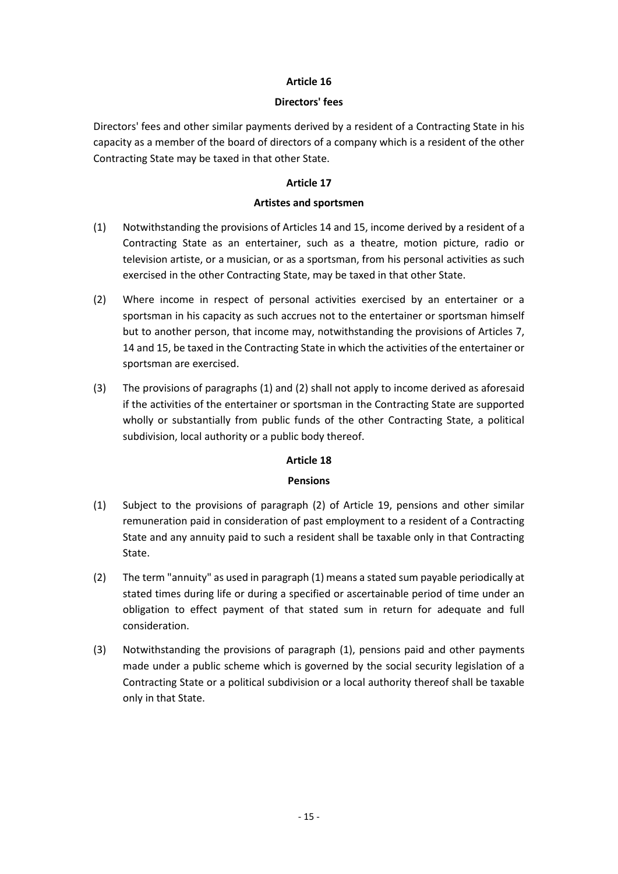### **Directors' fees**

Directors' fees and other similar payments derived by a resident of a Contracting State in his capacity as a member of the board of directors of a company which is a resident of the other Contracting State may be taxed in that other State.

### **Article 17**

### **Artistes and sportsmen**

- (1) Notwithstanding the provisions of Articles 14 and 15, income derived by a resident of a Contracting State as an entertainer, such as a theatre, motion picture, radio or television artiste, or a musician, or as a sportsman, from his personal activities as such exercised in the other Contracting State, may be taxed in that other State.
- (2) Where income in respect of personal activities exercised by an entertainer or a sportsman in his capacity as such accrues not to the entertainer or sportsman himself but to another person, that income may, notwithstanding the provisions of Articles 7, 14 and 15, be taxed in the Contracting State in which the activities of the entertainer or sportsman are exercised.
- (3) The provisions of paragraphs (1) and (2) shall not apply to income derived as aforesaid if the activities of the entertainer or sportsman in the Contracting State are supported wholly or substantially from public funds of the other Contracting State, a political subdivision, local authority or a public body thereof.

# **Article 18**

# **Pensions**

- (1) Subject to the provisions of paragraph (2) of Article 19, pensions and other similar remuneration paid in consideration of past employment to a resident of a Contracting State and any annuity paid to such a resident shall be taxable only in that Contracting State.
- (2) The term "annuity" as used in paragraph (1) means a stated sum payable periodically at stated times during life or during a specified or ascertainable period of time under an obligation to effect payment of that stated sum in return for adequate and full consideration.
- (3) Notwithstanding the provisions of paragraph (1), pensions paid and other payments made under a public scheme which is governed by the social security legislation of a Contracting State or a political subdivision or a local authority thereof shall be taxable only in that State.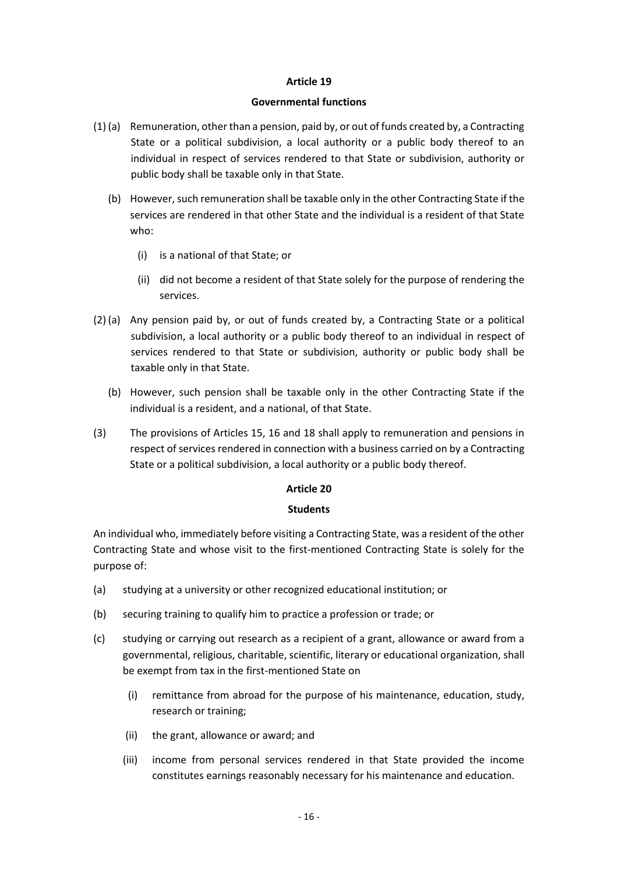### **Governmental functions**

- (1) (a) Remuneration, other than a pension, paid by, or out of funds created by, a Contracting State or a political subdivision, a local authority or a public body thereof to an individual in respect of services rendered to that State or subdivision, authority or public body shall be taxable only in that State.
	- (b) However, such remuneration shall be taxable only in the other Contracting State if the services are rendered in that other State and the individual is a resident of that State who:
		- (i) is a national of that State; or
		- (ii) did not become a resident of that State solely for the purpose of rendering the services.
- (2) (a) Any pension paid by, or out of funds created by, a Contracting State or a political subdivision, a local authority or a public body thereof to an individual in respect of services rendered to that State or subdivision, authority or public body shall be taxable only in that State.
	- (b) However, such pension shall be taxable only in the other Contracting State if the individual is a resident, and a national, of that State.
- (3) The provisions of Articles 15, 16 and 18 shall apply to remuneration and pensions in respect of services rendered in connection with a business carried on by a Contracting State or a political subdivision, a local authority or a public body thereof.

### **Article 20**

### **Students**

An individual who, immediately before visiting a Contracting State, was a resident of the other Contracting State and whose visit to the first-mentioned Contracting State is solely for the purpose of:

- (a) studying at a university or other recognized educational institution; or
- (b) securing training to qualify him to practice a profession or trade; or
- (c) studying or carrying out research as a recipient of a grant, allowance or award from a governmental, religious, charitable, scientific, literary or educational organization, shall be exempt from tax in the first-mentioned State on
	- (i) remittance from abroad for the purpose of his maintenance, education, study, research or training;
	- (ii) the grant, allowance or award; and
	- (iii) income from personal services rendered in that State provided the income constitutes earnings reasonably necessary for his maintenance and education.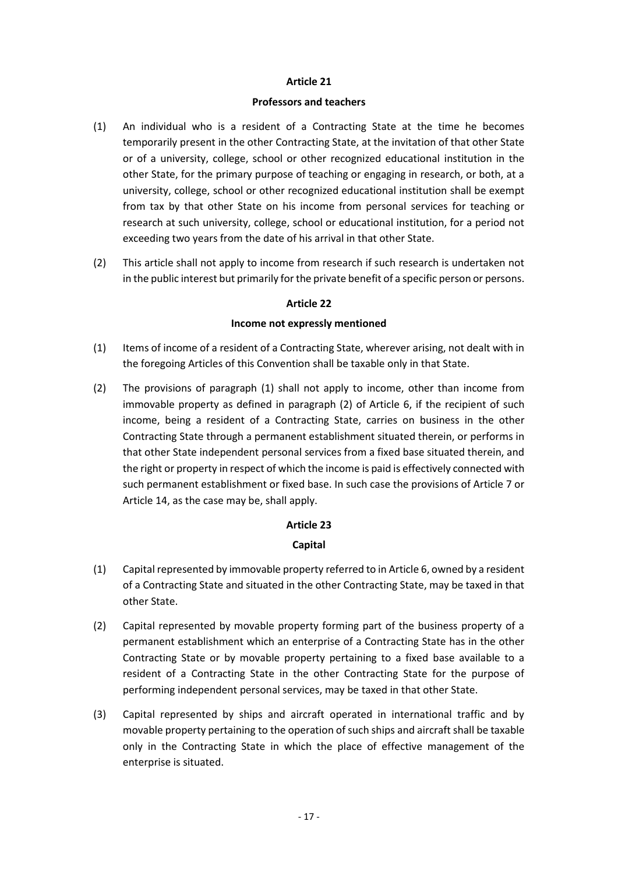### **Professors and teachers**

- (1) An individual who is a resident of a Contracting State at the time he becomes temporarily present in the other Contracting State, at the invitation of that other State or of a university, college, school or other recognized educational institution in the other State, for the primary purpose of teaching or engaging in research, or both, at a university, college, school or other recognized educational institution shall be exempt from tax by that other State on his income from personal services for teaching or research at such university, college, school or educational institution, for a period not exceeding two years from the date of his arrival in that other State.
- (2) This article shall not apply to income from research if such research is undertaken not in the public interest but primarily for the private benefit of a specific person or persons.

# **Article 22**

### **Income not expressly mentioned**

- (1) Items of income of a resident of a Contracting State, wherever arising, not dealt with in the foregoing Articles of this Convention shall be taxable only in that State.
- (2) The provisions of paragraph (1) shall not apply to income, other than income from immovable property as defined in paragraph (2) of Article 6, if the recipient of such income, being a resident of a Contracting State, carries on business in the other Contracting State through a permanent establishment situated therein, or performs in that other State independent personal services from a fixed base situated therein, and the right or property in respect of which the income is paid is effectively connected with such permanent establishment or fixed base. In such case the provisions of Article 7 or Article 14, as the case may be, shall apply.

# **Article 23**

# **Capital**

- (1) Capital represented by immovable property referred to in Article 6, owned by a resident of a Contracting State and situated in the other Contracting State, may be taxed in that other State.
- (2) Capital represented by movable property forming part of the business property of a permanent establishment which an enterprise of a Contracting State has in the other Contracting State or by movable property pertaining to a fixed base available to a resident of a Contracting State in the other Contracting State for the purpose of performing independent personal services, may be taxed in that other State.
- (3) Capital represented by ships and aircraft operated in international traffic and by movable property pertaining to the operation of such ships and aircraft shall be taxable only in the Contracting State in which the place of effective management of the enterprise is situated.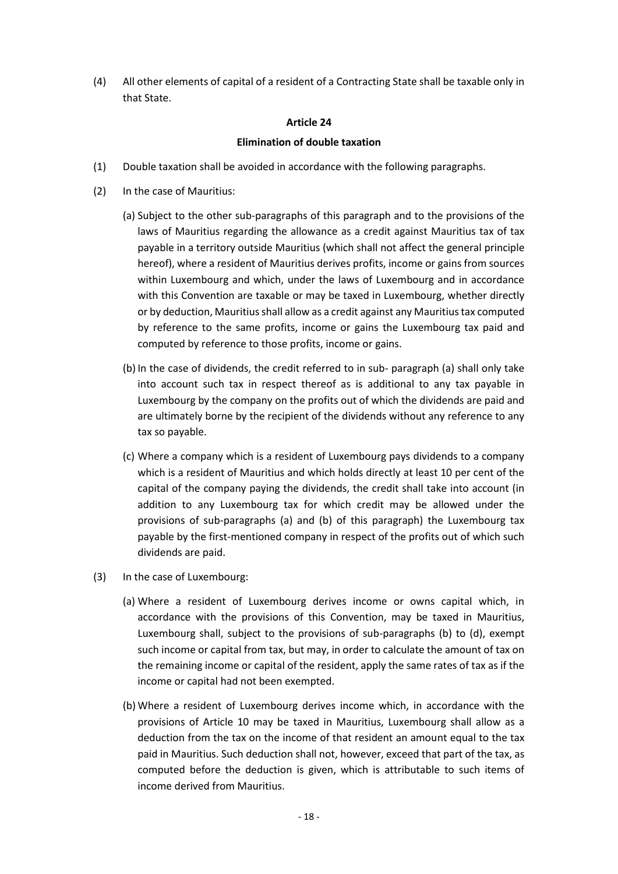(4) All other elements of capital of a resident of a Contracting State shall be taxable only in that State.

### **Article 24**

#### **Elimination of double taxation**

- (1) Double taxation shall be avoided in accordance with the following paragraphs.
- (2) In the case of Mauritius:
	- (a) Subject to the other sub-paragraphs of this paragraph and to the provisions of the laws of Mauritius regarding the allowance as a credit against Mauritius tax of tax payable in a territory outside Mauritius (which shall not affect the general principle hereof), where a resident of Mauritius derives profits, income or gains from sources within Luxembourg and which, under the laws of Luxembourg and in accordance with this Convention are taxable or may be taxed in Luxembourg, whether directly or by deduction, Mauritius shall allow as a credit against any Mauritius tax computed by reference to the same profits, income or gains the Luxembourg tax paid and computed by reference to those profits, income or gains.
	- (b) In the case of dividends, the credit referred to in sub- paragraph (a) shall only take into account such tax in respect thereof as is additional to any tax payable in Luxembourg by the company on the profits out of which the dividends are paid and are ultimately borne by the recipient of the dividends without any reference to any tax so payable.
	- (c) Where a company which is a resident of Luxembourg pays dividends to a company which is a resident of Mauritius and which holds directly at least 10 per cent of the capital of the company paying the dividends, the credit shall take into account (in addition to any Luxembourg tax for which credit may be allowed under the provisions of sub-paragraphs (a) and (b) of this paragraph) the Luxembourg tax payable by the first-mentioned company in respect of the profits out of which such dividends are paid.
- (3) In the case of Luxembourg:
	- (a) Where a resident of Luxembourg derives income or owns capital which, in accordance with the provisions of this Convention, may be taxed in Mauritius, Luxembourg shall, subject to the provisions of sub-paragraphs (b) to (d), exempt such income or capital from tax, but may, in order to calculate the amount of tax on the remaining income or capital of the resident, apply the same rates of tax as if the income or capital had not been exempted.
	- (b) Where a resident of Luxembourg derives income which, in accordance with the provisions of Article 10 may be taxed in Mauritius, Luxembourg shall allow as a deduction from the tax on the income of that resident an amount equal to the tax paid in Mauritius. Such deduction shall not, however, exceed that part of the tax, as computed before the deduction is given, which is attributable to such items of income derived from Mauritius.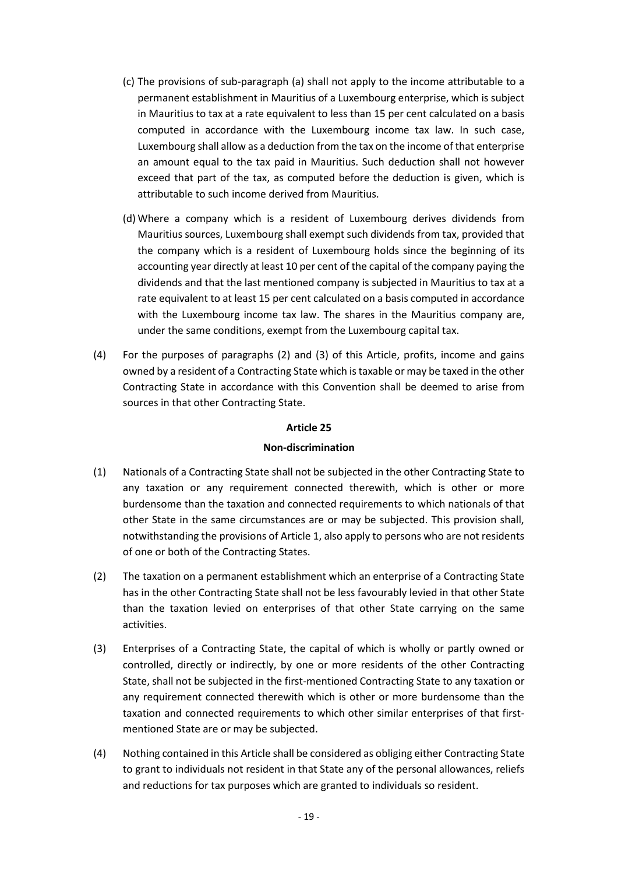- (c) The provisions of sub-paragraph (a) shall not apply to the income attributable to a permanent establishment in Mauritius of a Luxembourg enterprise, which is subject in Mauritius to tax at a rate equivalent to less than 15 per cent calculated on a basis computed in accordance with the Luxembourg income tax law. In such case, Luxembourg shall allow as a deduction from the tax on the income of that enterprise an amount equal to the tax paid in Mauritius. Such deduction shall not however exceed that part of the tax, as computed before the deduction is given, which is attributable to such income derived from Mauritius.
- (d) Where a company which is a resident of Luxembourg derives dividends from Mauritius sources, Luxembourg shall exempt such dividends from tax, provided that the company which is a resident of Luxembourg holds since the beginning of its accounting year directly at least 10 per cent of the capital of the company paying the dividends and that the last mentioned company is subjected in Mauritius to tax at a rate equivalent to at least 15 per cent calculated on a basis computed in accordance with the Luxembourg income tax law. The shares in the Mauritius company are, under the same conditions, exempt from the Luxembourg capital tax.
- (4) For the purposes of paragraphs (2) and (3) of this Article, profits, income and gains owned by a resident of a Contracting State which is taxable or may be taxed in the other Contracting State in accordance with this Convention shall be deemed to arise from sources in that other Contracting State.

# **Non-discrimination**

- (1) Nationals of a Contracting State shall not be subjected in the other Contracting State to any taxation or any requirement connected therewith, which is other or more burdensome than the taxation and connected requirements to which nationals of that other State in the same circumstances are or may be subjected. This provision shall, notwithstanding the provisions of Article 1, also apply to persons who are not residents of one or both of the Contracting States.
- (2) The taxation on a permanent establishment which an enterprise of a Contracting State has in the other Contracting State shall not be less favourably levied in that other State than the taxation levied on enterprises of that other State carrying on the same activities.
- (3) Enterprises of a Contracting State, the capital of which is wholly or partly owned or controlled, directly or indirectly, by one or more residents of the other Contracting State, shall not be subjected in the first-mentioned Contracting State to any taxation or any requirement connected therewith which is other or more burdensome than the taxation and connected requirements to which other similar enterprises of that firstmentioned State are or may be subjected.
- (4) Nothing contained in this Article shall be considered as obliging either Contracting State to grant to individuals not resident in that State any of the personal allowances, reliefs and reductions for tax purposes which are granted to individuals so resident.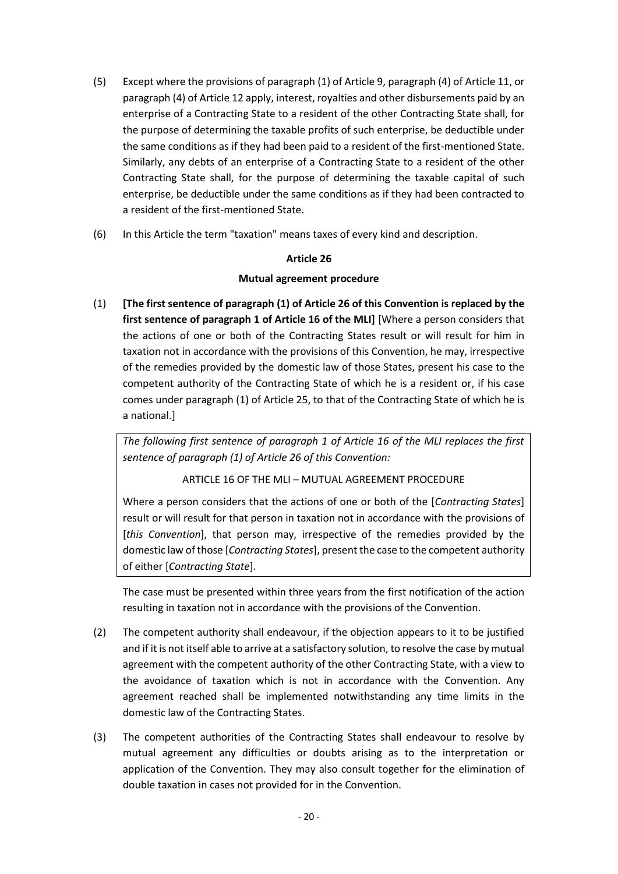- (5) Except where the provisions of paragraph (1) of Article 9, paragraph (4) of Article 11, or paragraph (4) of Article 12 apply, interest, royalties and other disbursements paid by an enterprise of a Contracting State to a resident of the other Contracting State shall, for the purpose of determining the taxable profits of such enterprise, be deductible under the same conditions as if they had been paid to a resident of the first-mentioned State. Similarly, any debts of an enterprise of a Contracting State to a resident of the other Contracting State shall, for the purpose of determining the taxable capital of such enterprise, be deductible under the same conditions as if they had been contracted to a resident of the first-mentioned State.
- (6) In this Article the term "taxation" means taxes of every kind and description.

# **Mutual agreement procedure**

(1) **[The first sentence of paragraph (1) of Article 26 of this Convention is replaced by the first sentence of paragraph 1 of Article 16 of the MLI]** [Where a person considers that the actions of one or both of the Contracting States result or will result for him in taxation not in accordance with the provisions of this Convention, he may, irrespective of the remedies provided by the domestic law of those States, present his case to the competent authority of the Contracting State of which he is a resident or, if his case comes under paragraph (1) of Article 25, to that of the Contracting State of which he is a national.]

*The following first sentence of paragraph 1 of Article 16 of the MLI replaces the first sentence of paragraph (1) of Article 26 of this Convention:*

ARTICLE 16 OF THE MLI – MUTUAL AGREEMENT PROCEDURE

Where a person considers that the actions of one or both of the [*Contracting States*] result or will result for that person in taxation not in accordance with the provisions of [*this Convention*], that person may, irrespective of the remedies provided by the domestic law of those [*Contracting States*], present the case to the competent authority of either [*Contracting State*].

The case must be presented within three years from the first notification of the action resulting in taxation not in accordance with the provisions of the Convention.

- (2) The competent authority shall endeavour, if the objection appears to it to be justified and if it is not itself able to arrive at a satisfactory solution, to resolve the case by mutual agreement with the competent authority of the other Contracting State, with a view to the avoidance of taxation which is not in accordance with the Convention. Any agreement reached shall be implemented notwithstanding any time limits in the domestic law of the Contracting States.
- (3) The competent authorities of the Contracting States shall endeavour to resolve by mutual agreement any difficulties or doubts arising as to the interpretation or application of the Convention. They may also consult together for the elimination of double taxation in cases not provided for in the Convention.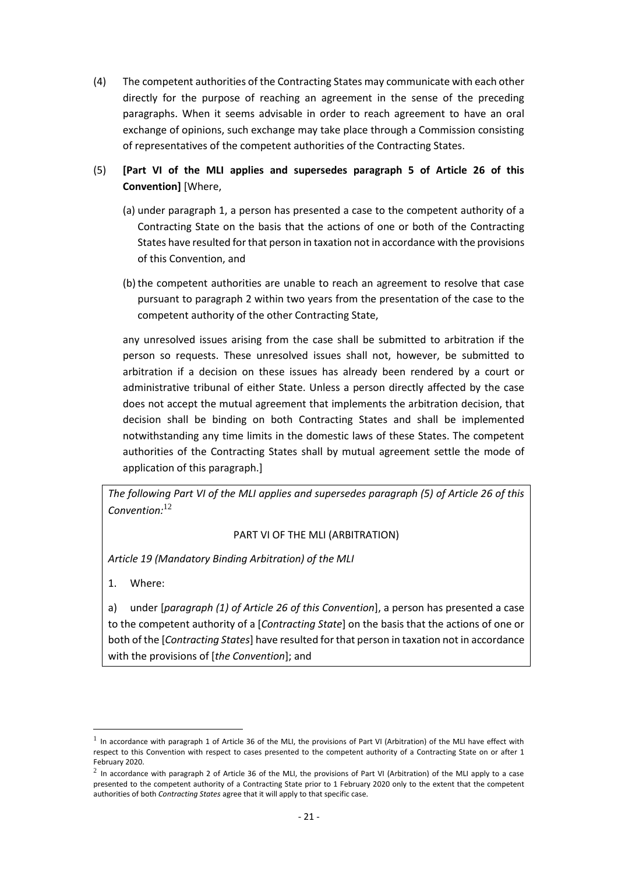- (4) The competent authorities of the Contracting States may communicate with each other directly for the purpose of reaching an agreement in the sense of the preceding paragraphs. When it seems advisable in order to reach agreement to have an oral exchange of opinions, such exchange may take place through a Commission consisting of representatives of the competent authorities of the Contracting States.
- (5) **[Part VI of the MLI applies and supersedes paragraph 5 of Article 26 of this Convention]** [Where,
	- (a) under paragraph 1, a person has presented a case to the competent authority of a Contracting State on the basis that the actions of one or both of the Contracting States have resulted for that person in taxation not in accordance with the provisions of this Convention, and
	- (b) the competent authorities are unable to reach an agreement to resolve that case pursuant to paragraph 2 within two years from the presentation of the case to the competent authority of the other Contracting State,

any unresolved issues arising from the case shall be submitted to arbitration if the person so requests. These unresolved issues shall not, however, be submitted to arbitration if a decision on these issues has already been rendered by a court or administrative tribunal of either State. Unless a person directly affected by the case does not accept the mutual agreement that implements the arbitration decision, that decision shall be binding on both Contracting States and shall be implemented notwithstanding any time limits in the domestic laws of these States. The competent authorities of the Contracting States shall by mutual agreement settle the mode of application of this paragraph.]

*The following Part VI of the MLI applies and supersedes paragraph (5) of Article 26 of this Convention:*<sup>12</sup>

PART VI OF THE MLI (ARBITRATION)

*Article 19 (Mandatory Binding Arbitration) of the MLI* 

1. Where:

<u>.</u>

a) under [*paragraph (1) of Article 26 of this Convention*], a person has presented a case to the competent authority of a [*Contracting State*] on the basis that the actions of one or both of the [*Contracting States*] have resulted for that person in taxation not in accordance with the provisions of [*the Convention*]; and

 $<sup>1</sup>$  In accordance with paragraph 1 of Article 36 of the MLI, the provisions of Part VI (Arbitration) of the MLI have effect with</sup> respect to this Convention with respect to cases presented to the competent authority of a Contracting State on or after 1 February 2020.

 $^2$  In accordance with paragraph 2 of Article 36 of the MLI, the provisions of Part VI (Arbitration) of the MLI apply to a case presented to the competent authority of a Contracting State prior to 1 February 2020 only to the extent that the competent authorities of both *Contracting States* agree that it will apply to that specific case.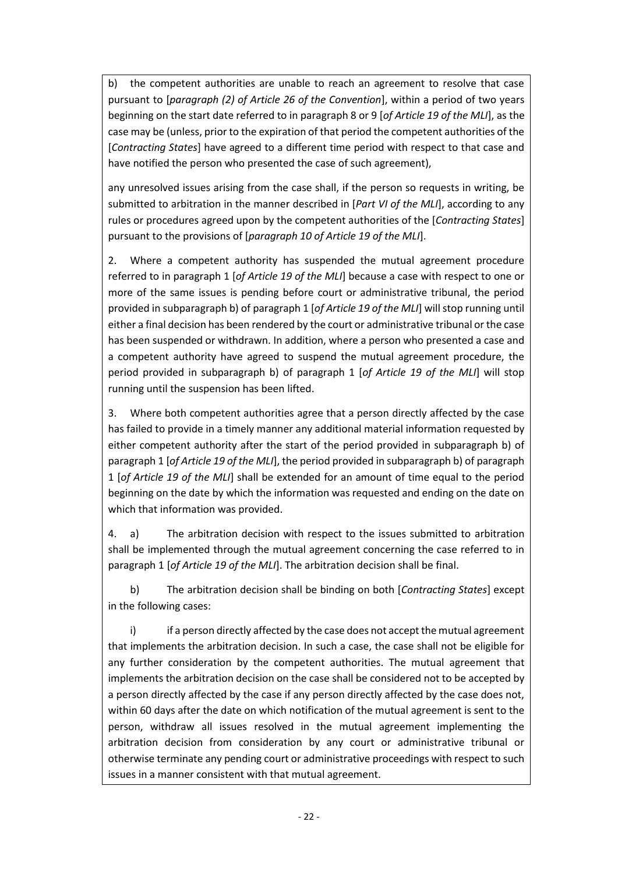b) the competent authorities are unable to reach an agreement to resolve that case pursuant to [*paragraph (2) of Article 26 of the Convention*], within a period of two years beginning on the start date referred to in paragraph 8 or 9 [*of Article 19 of the MLI*], as the case may be (unless, prior to the expiration of that period the competent authorities of the [*Contracting States*] have agreed to a different time period with respect to that case and have notified the person who presented the case of such agreement),

any unresolved issues arising from the case shall, if the person so requests in writing, be submitted to arbitration in the manner described in [*Part VI of the MLI*], according to any rules or procedures agreed upon by the competent authorities of the [*Contracting States*] pursuant to the provisions of [*paragraph 10 of Article 19 of the MLI*].

2. Where a competent authority has suspended the mutual agreement procedure referred to in paragraph 1 [*of Article 19 of the MLI*] because a case with respect to one or more of the same issues is pending before court or administrative tribunal, the period provided in subparagraph b) of paragraph 1 [*of Article 19 of the MLI*] will stop running until either a final decision has been rendered by the court or administrative tribunal or the case has been suspended or withdrawn. In addition, where a person who presented a case and a competent authority have agreed to suspend the mutual agreement procedure, the period provided in subparagraph b) of paragraph 1 [*of Article 19 of the MLI*] will stop running until the suspension has been lifted.

3. Where both competent authorities agree that a person directly affected by the case has failed to provide in a timely manner any additional material information requested by either competent authority after the start of the period provided in subparagraph b) of paragraph 1 [*of Article 19 of the MLI*], the period provided in subparagraph b) of paragraph 1 [*of Article 19 of the MLI*] shall be extended for an amount of time equal to the period beginning on the date by which the information was requested and ending on the date on which that information was provided.

4. a) The arbitration decision with respect to the issues submitted to arbitration shall be implemented through the mutual agreement concerning the case referred to in paragraph 1 [*of Article 19 of the MLI*]. The arbitration decision shall be final.

b) The arbitration decision shall be binding on both [*Contracting States*] except in the following cases:

i) if a person directly affected by the case does not accept the mutual agreement that implements the arbitration decision. In such a case, the case shall not be eligible for any further consideration by the competent authorities. The mutual agreement that implements the arbitration decision on the case shall be considered not to be accepted by a person directly affected by the case if any person directly affected by the case does not, within 60 days after the date on which notification of the mutual agreement is sent to the person, withdraw all issues resolved in the mutual agreement implementing the arbitration decision from consideration by any court or administrative tribunal or otherwise terminate any pending court or administrative proceedings with respect to such issues in a manner consistent with that mutual agreement.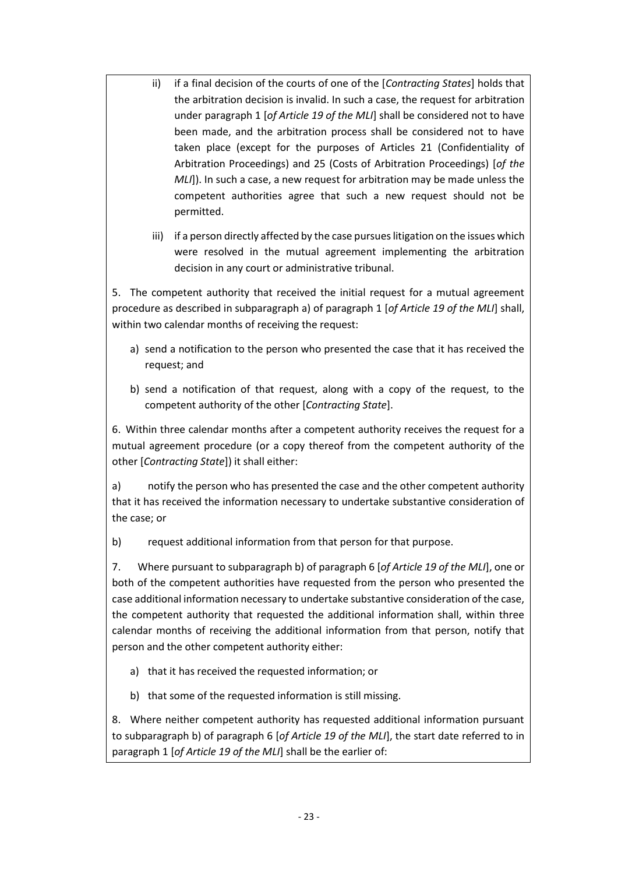- ii) if a final decision of the courts of one of the [*Contracting States*] holds that the arbitration decision is invalid. In such a case, the request for arbitration under paragraph 1 [*of Article 19 of the MLI*] shall be considered not to have been made, and the arbitration process shall be considered not to have taken place (except for the purposes of Articles 21 (Confidentiality of Arbitration Proceedings) and 25 (Costs of Arbitration Proceedings) [*of the MLI*]). In such a case, a new request for arbitration may be made unless the competent authorities agree that such a new request should not be permitted.
	- iii) if a person directly affected by the case pursues litigation on the issues which were resolved in the mutual agreement implementing the arbitration decision in any court or administrative tribunal.

5. The competent authority that received the initial request for a mutual agreement procedure as described in subparagraph a) of paragraph 1 [*of Article 19 of the MLI*] shall, within two calendar months of receiving the request:

- a) send a notification to the person who presented the case that it has received the request; and
- b) send a notification of that request, along with a copy of the request, to the competent authority of the other [*Contracting State*].

6. Within three calendar months after a competent authority receives the request for a mutual agreement procedure (or a copy thereof from the competent authority of the other [*Contracting State*]) it shall either:

a) notify the person who has presented the case and the other competent authority that it has received the information necessary to undertake substantive consideration of the case; or

b) request additional information from that person for that purpose.

7. Where pursuant to subparagraph b) of paragraph 6 [*of Article 19 of the MLI*], one or both of the competent authorities have requested from the person who presented the case additional information necessary to undertake substantive consideration of the case, the competent authority that requested the additional information shall, within three calendar months of receiving the additional information from that person, notify that person and the other competent authority either:

- a) that it has received the requested information; or
- b) that some of the requested information is still missing.

8. Where neither competent authority has requested additional information pursuant to subparagraph b) of paragraph 6 [*of Article 19 of the MLI*], the start date referred to in paragraph 1 [*of Article 19 of the MLI*] shall be the earlier of: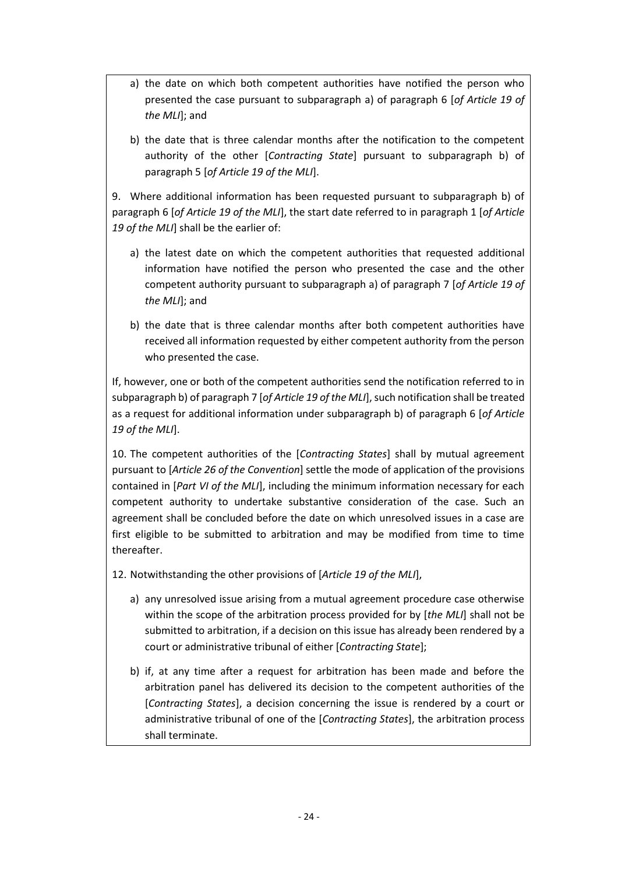- a) the date on which both competent authorities have notified the person who presented the case pursuant to subparagraph a) of paragraph 6 [*of Article 19 of the MLI*]; and
- b) the date that is three calendar months after the notification to the competent authority of the other [*Contracting State*] pursuant to subparagraph b) of paragraph 5 [*of Article 19 of the MLI*].

9. Where additional information has been requested pursuant to subparagraph b) of paragraph 6 [*of Article 19 of the MLI*], the start date referred to in paragraph 1 [*of Article 19 of the MLI*] shall be the earlier of:

- a) the latest date on which the competent authorities that requested additional information have notified the person who presented the case and the other competent authority pursuant to subparagraph a) of paragraph 7 [*of Article 19 of the MLI*]; and
- b) the date that is three calendar months after both competent authorities have received all information requested by either competent authority from the person who presented the case.

If, however, one or both of the competent authorities send the notification referred to in subparagraph b) of paragraph 7 [*of Article 19 of the MLI*], such notification shall be treated as a request for additional information under subparagraph b) of paragraph 6 [*of Article 19 of the MLI*].

10. The competent authorities of the [*Contracting States*] shall by mutual agreement pursuant to [*Article 26 of the Convention*] settle the mode of application of the provisions contained in [*Part VI of the MLI*], including the minimum information necessary for each competent authority to undertake substantive consideration of the case. Such an agreement shall be concluded before the date on which unresolved issues in a case are first eligible to be submitted to arbitration and may be modified from time to time thereafter.

12. Notwithstanding the other provisions of [*Article 19 of the MLI*],

- a) any unresolved issue arising from a mutual agreement procedure case otherwise within the scope of the arbitration process provided for by [*the MLI*] shall not be submitted to arbitration, if a decision on this issue has already been rendered by a court or administrative tribunal of either [*Contracting State*];
- b) if, at any time after a request for arbitration has been made and before the arbitration panel has delivered its decision to the competent authorities of the [*Contracting States*], a decision concerning the issue is rendered by a court or administrative tribunal of one of the [*Contracting States*], the arbitration process shall terminate.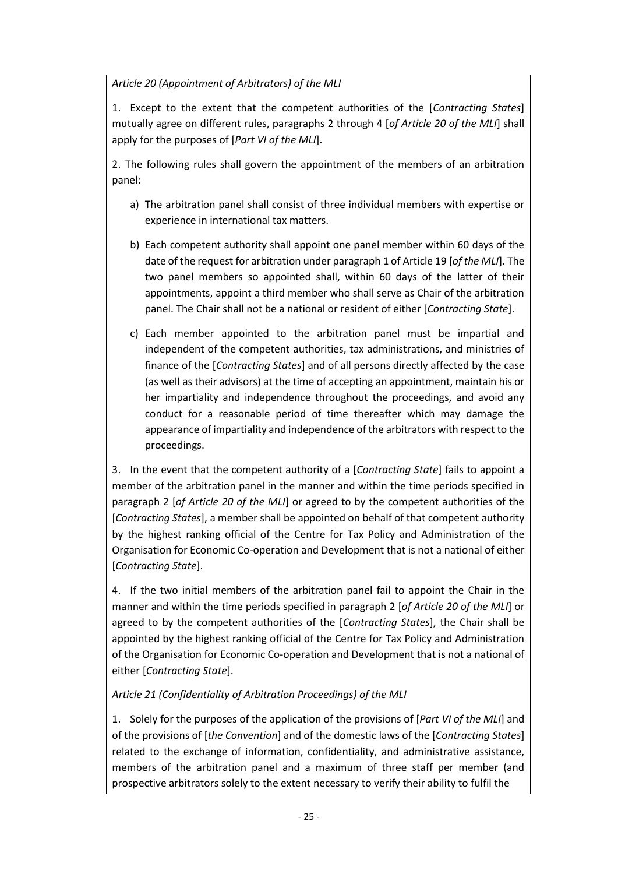*Article 20 (Appointment of Arbitrators) of the MLI* 

1. Except to the extent that the competent authorities of the [*Contracting States*] mutually agree on different rules, paragraphs 2 through 4 [*of Article 20 of the MLI*] shall apply for the purposes of [*Part VI of the MLI*].

2. The following rules shall govern the appointment of the members of an arbitration panel:

- a) The arbitration panel shall consist of three individual members with expertise or experience in international tax matters.
- b) Each competent authority shall appoint one panel member within 60 days of the date of the request for arbitration under paragraph 1 of Article 19 [*of the MLI*]. The two panel members so appointed shall, within 60 days of the latter of their appointments, appoint a third member who shall serve as Chair of the arbitration panel. The Chair shall not be a national or resident of either [*Contracting State*].
- c) Each member appointed to the arbitration panel must be impartial and independent of the competent authorities, tax administrations, and ministries of finance of the [*Contracting States*] and of all persons directly affected by the case (as well as their advisors) at the time of accepting an appointment, maintain his or her impartiality and independence throughout the proceedings, and avoid any conduct for a reasonable period of time thereafter which may damage the appearance of impartiality and independence of the arbitrators with respect to the proceedings.

3. In the event that the competent authority of a [*Contracting State*] fails to appoint a member of the arbitration panel in the manner and within the time periods specified in paragraph 2 [*of Article 20 of the MLI*] or agreed to by the competent authorities of the [*Contracting States*], a member shall be appointed on behalf of that competent authority by the highest ranking official of the Centre for Tax Policy and Administration of the Organisation for Economic Co-operation and Development that is not a national of either [*Contracting State*].

4. If the two initial members of the arbitration panel fail to appoint the Chair in the manner and within the time periods specified in paragraph 2 [*of Article 20 of the MLI*] or agreed to by the competent authorities of the [*Contracting States*], the Chair shall be appointed by the highest ranking official of the Centre for Tax Policy and Administration of the Organisation for Economic Co-operation and Development that is not a national of either [*Contracting State*].

*Article 21 (Confidentiality of Arbitration Proceedings) of the MLI*

1. Solely for the purposes of the application of the provisions of [*Part VI of the MLI*] and of the provisions of [*the Convention*] and of the domestic laws of the [*Contracting States*] related to the exchange of information, confidentiality, and administrative assistance, members of the arbitration panel and a maximum of three staff per member (and prospective arbitrators solely to the extent necessary to verify their ability to fulfil the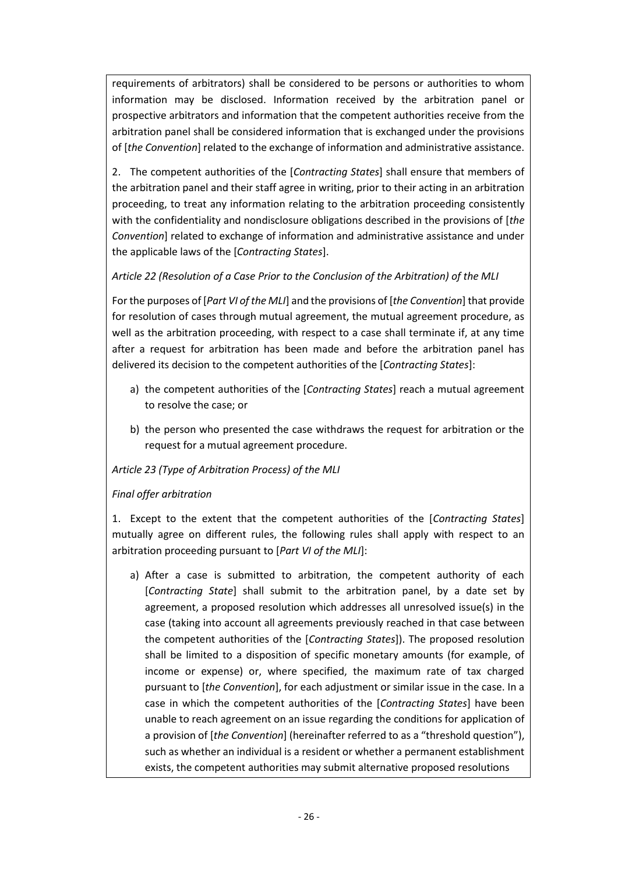requirements of arbitrators) shall be considered to be persons or authorities to whom information may be disclosed. Information received by the arbitration panel or prospective arbitrators and information that the competent authorities receive from the arbitration panel shall be considered information that is exchanged under the provisions of [*the Convention*] related to the exchange of information and administrative assistance.

2. The competent authorities of the [*Contracting States*] shall ensure that members of the arbitration panel and their staff agree in writing, prior to their acting in an arbitration proceeding, to treat any information relating to the arbitration proceeding consistently with the confidentiality and nondisclosure obligations described in the provisions of [*the Convention*] related to exchange of information and administrative assistance and under the applicable laws of the [*Contracting States*].

# *Article 22 (Resolution of a Case Prior to the Conclusion of the Arbitration) of the MLI*

For the purposes of [*Part VI of the MLI*] and the provisions of [*the Convention*] that provide for resolution of cases through mutual agreement, the mutual agreement procedure, as well as the arbitration proceeding, with respect to a case shall terminate if, at any time after a request for arbitration has been made and before the arbitration panel has delivered its decision to the competent authorities of the [*Contracting States*]:

- a) the competent authorities of the [*Contracting States*] reach a mutual agreement to resolve the case; or
- b) the person who presented the case withdraws the request for arbitration or the request for a mutual agreement procedure.

# *Article 23 (Type of Arbitration Process) of the MLI*

# *Final offer arbitration*

1. Except to the extent that the competent authorities of the [*Contracting States*] mutually agree on different rules, the following rules shall apply with respect to an arbitration proceeding pursuant to [*Part VI of the MLI*]:

a) After a case is submitted to arbitration, the competent authority of each [*Contracting State*] shall submit to the arbitration panel, by a date set by agreement, a proposed resolution which addresses all unresolved issue(s) in the case (taking into account all agreements previously reached in that case between the competent authorities of the [*Contracting States*]). The proposed resolution shall be limited to a disposition of specific monetary amounts (for example, of income or expense) or, where specified, the maximum rate of tax charged pursuant to [*the Convention*], for each adjustment or similar issue in the case. In a case in which the competent authorities of the [*Contracting States*] have been unable to reach agreement on an issue regarding the conditions for application of a provision of [*the Convention*] (hereinafter referred to as a "threshold question"), such as whether an individual is a resident or whether a permanent establishment exists, the competent authorities may submit alternative proposed resolutions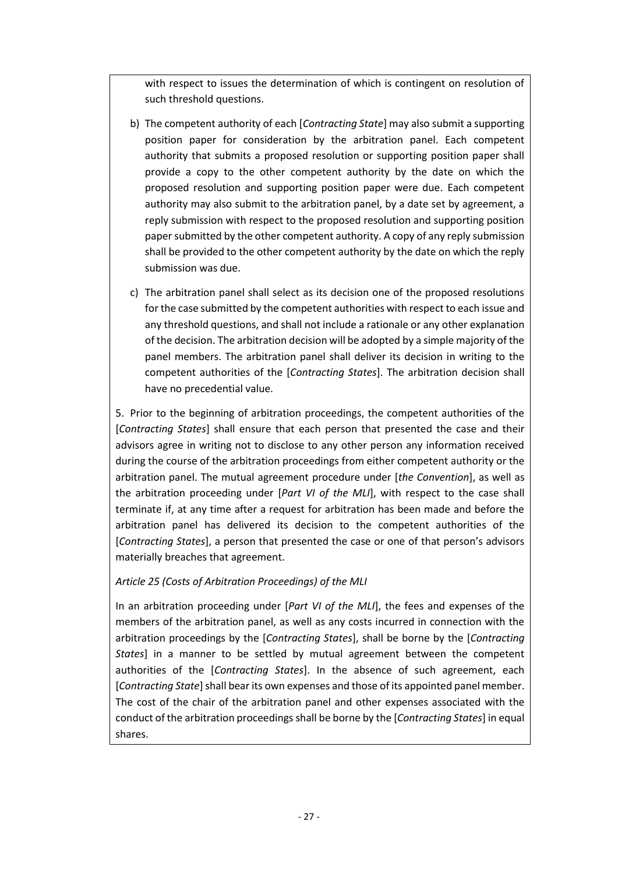with respect to issues the determination of which is contingent on resolution of such threshold questions.

- b) The competent authority of each [*Contracting State*] may also submit a supporting position paper for consideration by the arbitration panel. Each competent authority that submits a proposed resolution or supporting position paper shall provide a copy to the other competent authority by the date on which the proposed resolution and supporting position paper were due. Each competent authority may also submit to the arbitration panel, by a date set by agreement, a reply submission with respect to the proposed resolution and supporting position paper submitted by the other competent authority. A copy of any reply submission shall be provided to the other competent authority by the date on which the reply submission was due.
- c) The arbitration panel shall select as its decision one of the proposed resolutions for the case submitted by the competent authorities with respect to each issue and any threshold questions, and shall not include a rationale or any other explanation of the decision. The arbitration decision will be adopted by a simple majority of the panel members. The arbitration panel shall deliver its decision in writing to the competent authorities of the [*Contracting States*]. The arbitration decision shall have no precedential value.

5. Prior to the beginning of arbitration proceedings, the competent authorities of the [*Contracting States*] shall ensure that each person that presented the case and their advisors agree in writing not to disclose to any other person any information received during the course of the arbitration proceedings from either competent authority or the arbitration panel. The mutual agreement procedure under [*the Convention*], as well as the arbitration proceeding under [*Part VI of the MLI*], with respect to the case shall terminate if, at any time after a request for arbitration has been made and before the arbitration panel has delivered its decision to the competent authorities of the [*Contracting States*], a person that presented the case or one of that person's advisors materially breaches that agreement.

# *Article 25 (Costs of Arbitration Proceedings) of the MLI*

In an arbitration proceeding under [*Part VI of the MLI*], the fees and expenses of the members of the arbitration panel, as well as any costs incurred in connection with the arbitration proceedings by the [*Contracting States*], shall be borne by the [*Contracting States*] in a manner to be settled by mutual agreement between the competent authorities of the [*Contracting States*]. In the absence of such agreement, each [*Contracting State*] shall bear its own expenses and those of its appointed panel member. The cost of the chair of the arbitration panel and other expenses associated with the conduct of the arbitration proceedings shall be borne by the [*Contracting States*] in equal shares.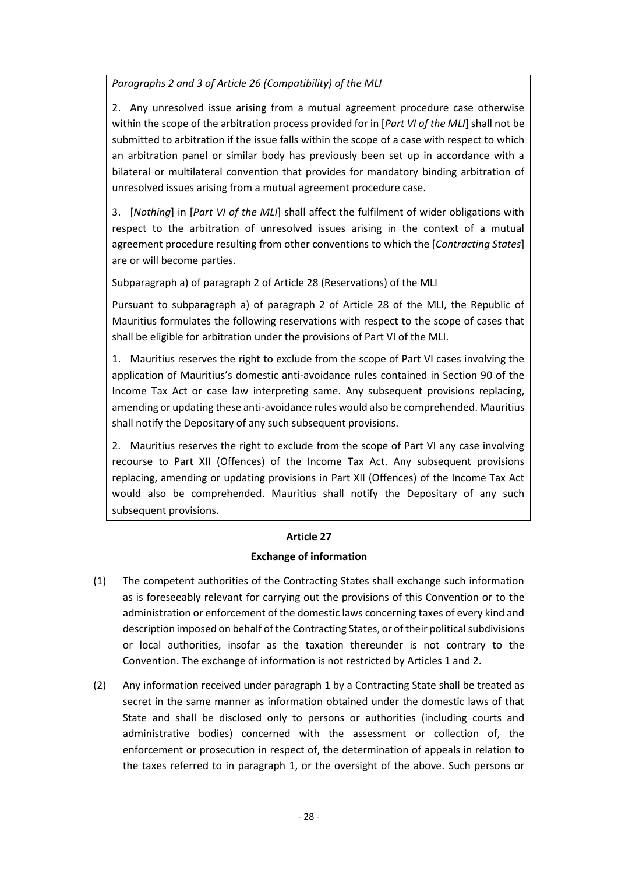# *Paragraphs 2 and 3 of Article 26 (Compatibility) of the MLI*

2. Any unresolved issue arising from a mutual agreement procedure case otherwise within the scope of the arbitration process provided for in [*Part VI of the MLI*] shall not be submitted to arbitration if the issue falls within the scope of a case with respect to which an arbitration panel or similar body has previously been set up in accordance with a bilateral or multilateral convention that provides for mandatory binding arbitration of unresolved issues arising from a mutual agreement procedure case.

3. [*Nothing*] in [*Part VI of the MLI*] shall affect the fulfilment of wider obligations with respect to the arbitration of unresolved issues arising in the context of a mutual agreement procedure resulting from other conventions to which the [*Contracting States*] are or will become parties.

Subparagraph a) of paragraph 2 of Article 28 (Reservations) of the MLI

Pursuant to subparagraph a) of paragraph 2 of Article 28 of the MLI, the Republic of Mauritius formulates the following reservations with respect to the scope of cases that shall be eligible for arbitration under the provisions of Part VI of the MLI.

1. Mauritius reserves the right to exclude from the scope of Part VI cases involving the application of Mauritius's domestic anti-avoidance rules contained in Section 90 of the Income Tax Act or case law interpreting same. Any subsequent provisions replacing, amending or updating these anti-avoidance rules would also be comprehended. Mauritius shall notify the Depositary of any such subsequent provisions.

2. Mauritius reserves the right to exclude from the scope of Part VI any case involving recourse to Part XII (Offences) of the Income Tax Act. Any subsequent provisions replacing, amending or updating provisions in Part XII (Offences) of the Income Tax Act would also be comprehended. Mauritius shall notify the Depositary of any such subsequent provisions.

# **Article 27**

# **Exchange of information**

- (1) The competent authorities of the Contracting States shall exchange such information as is foreseeably relevant for carrying out the provisions of this Convention or to the administration or enforcement of the domestic laws concerning taxes of every kind and description imposed on behalf of the Contracting States, or of their political subdivisions or local authorities, insofar as the taxation thereunder is not contrary to the Convention. The exchange of information is not restricted by Articles 1 and 2.
- (2) Any information received under paragraph 1 by a Contracting State shall be treated as secret in the same manner as information obtained under the domestic laws of that State and shall be disclosed only to persons or authorities (including courts and administrative bodies) concerned with the assessment or collection of, the enforcement or prosecution in respect of, the determination of appeals in relation to the taxes referred to in paragraph 1, or the oversight of the above. Such persons or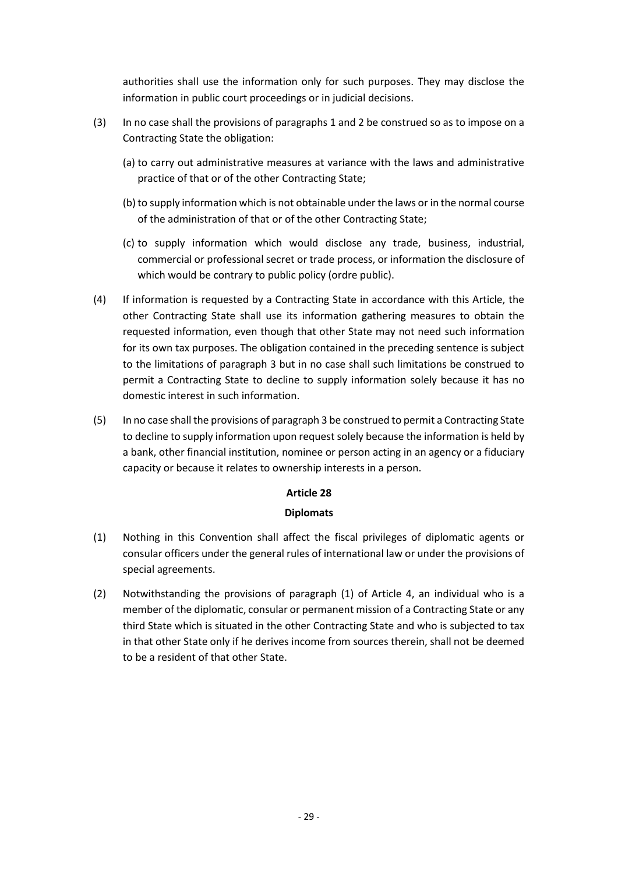authorities shall use the information only for such purposes. They may disclose the information in public court proceedings or in judicial decisions.

- (3) In no case shall the provisions of paragraphs 1 and 2 be construed so as to impose on a Contracting State the obligation:
	- (a) to carry out administrative measures at variance with the laws and administrative practice of that or of the other Contracting State;
	- (b) to supply information which is not obtainable under the laws or in the normal course of the administration of that or of the other Contracting State;
	- (c) to supply information which would disclose any trade, business, industrial, commercial or professional secret or trade process, or information the disclosure of which would be contrary to public policy (ordre public).
- (4) If information is requested by a Contracting State in accordance with this Article, the other Contracting State shall use its information gathering measures to obtain the requested information, even though that other State may not need such information for its own tax purposes. The obligation contained in the preceding sentence is subject to the limitations of paragraph 3 but in no case shall such limitations be construed to permit a Contracting State to decline to supply information solely because it has no domestic interest in such information.
- (5) In no case shall the provisions of paragraph 3 be construed to permit a Contracting State to decline to supply information upon request solely because the information is held by a bank, other financial institution, nominee or person acting in an agency or a fiduciary capacity or because it relates to ownership interests in a person.

# **Article 28**

# **Diplomats**

- (1) Nothing in this Convention shall affect the fiscal privileges of diplomatic agents or consular officers under the general rules of international law or under the provisions of special agreements.
- (2) Notwithstanding the provisions of paragraph (1) of Article 4, an individual who is a member of the diplomatic, consular or permanent mission of a Contracting State or any third State which is situated in the other Contracting State and who is subjected to tax in that other State only if he derives income from sources therein, shall not be deemed to be a resident of that other State.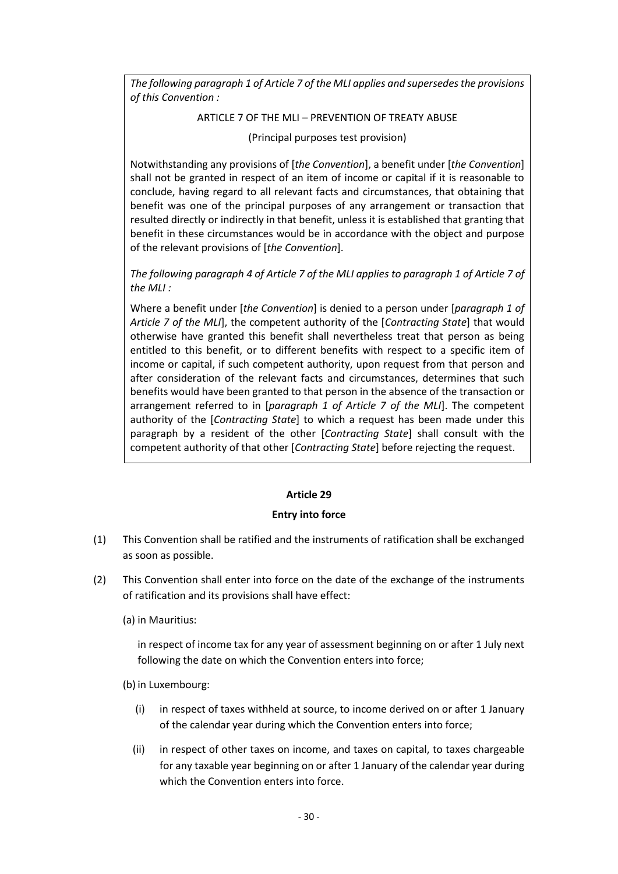*The following paragraph 1 of Article 7 of the MLI applies and supersedes the provisions of this Convention :*

### ARTICLE 7 OF THE MLI – PREVENTION OF TREATY ABUSE

(Principal purposes test provision)

Notwithstanding any provisions of [*the Convention*], a benefit under [*the Convention*] shall not be granted in respect of an item of income or capital if it is reasonable to conclude, having regard to all relevant facts and circumstances, that obtaining that benefit was one of the principal purposes of any arrangement or transaction that resulted directly or indirectly in that benefit, unless it is established that granting that benefit in these circumstances would be in accordance with the object and purpose of the relevant provisions of [*the Convention*].

*The following paragraph 4 of Article 7 of the MLI applies to paragraph 1 of Article 7 of the MLI :*

Where a benefit under [*the Convention*] is denied to a person under [*paragraph 1 of Article 7 of the MLI*], the competent authority of the [*Contracting State*] that would otherwise have granted this benefit shall nevertheless treat that person as being entitled to this benefit, or to different benefits with respect to a specific item of income or capital, if such competent authority, upon request from that person and after consideration of the relevant facts and circumstances, determines that such benefits would have been granted to that person in the absence of the transaction or arrangement referred to in [*paragraph 1 of Article 7 of the MLI*]. The competent authority of the [*Contracting State*] to which a request has been made under this paragraph by a resident of the other [*Contracting State*] shall consult with the competent authority of that other [*Contracting State*] before rejecting the request.

# **Article 29**

# **Entry into force**

- (1) This Convention shall be ratified and the instruments of ratification shall be exchanged as soon as possible.
- (2) This Convention shall enter into force on the date of the exchange of the instruments of ratification and its provisions shall have effect:
	- (a) in Mauritius:

in respect of income tax for any year of assessment beginning on or after 1 July next following the date on which the Convention enters into force;

(b) in Luxembourg:

- (i) in respect of taxes withheld at source, to income derived on or after 1 January of the calendar year during which the Convention enters into force;
- (ii) in respect of other taxes on income, and taxes on capital, to taxes chargeable for any taxable year beginning on or after 1 January of the calendar year during which the Convention enters into force.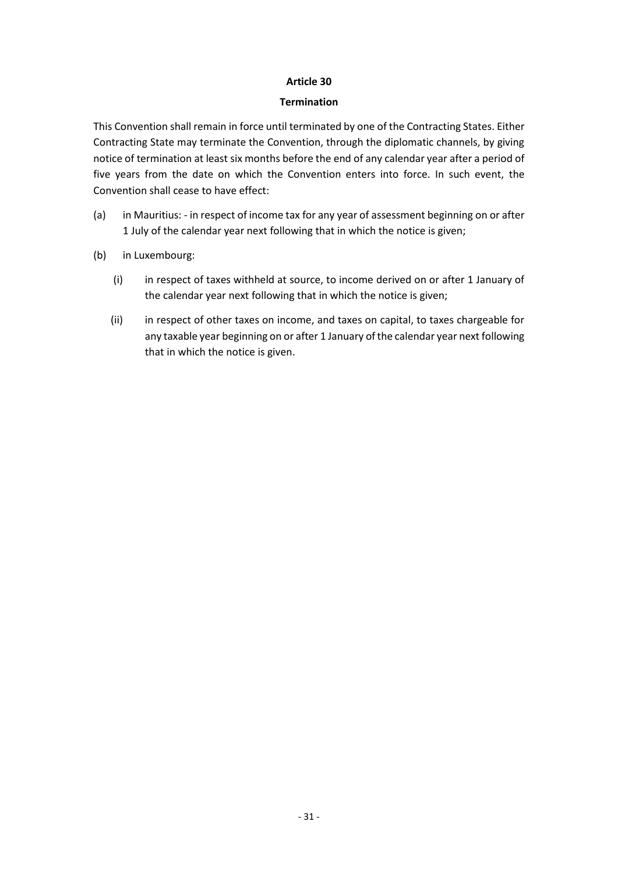### **Termination**

This Convention shall remain in force until terminated by one of the Contracting States. Either Contracting State may terminate the Convention, through the diplomatic channels, by giving notice of termination at least six months before the end of any calendar year after a period of five years from the date on which the Convention enters into force. In such event, the Convention shall cease to have effect:

- (a) in Mauritius: in respect of income tax for any year of assessment beginning on or after 1 July of the calendar year next following that in which the notice is given;
- (b) in Luxembourg:
	- (i) in respect of taxes withheld at source, to income derived on or after 1 January of the calendar year next following that in which the notice is given;
	- (ii) in respect of other taxes on income, and taxes on capital, to taxes chargeable for any taxable year beginning on or after 1 January of the calendar year next following that in which the notice is given.